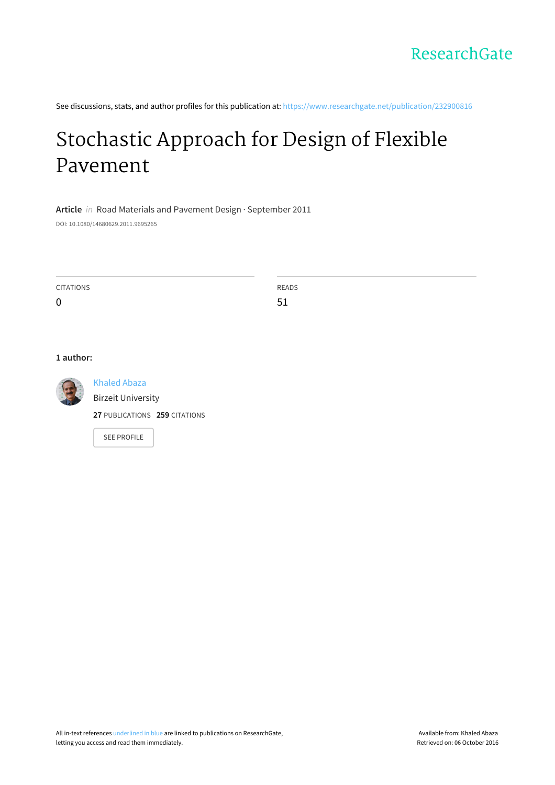See discussions, stats, and author profiles for this publication at: [https://www.researchgate.net/publication/232900816](https://www.researchgate.net/publication/232900816_Stochastic_Approach_for_Design_of_Flexible_Pavement?enrichId=rgreq-586e798f26b4d65e18ad21651c016afc-XXX&enrichSource=Y292ZXJQYWdlOzIzMjkwMDgxNjtBUzoxOTc1NDUyNzcwMzg2MDJAMTQyNDEwOTg3MjQzNQ%3D%3D&el=1_x_2)

# [Stochastic](https://www.researchgate.net/publication/232900816_Stochastic_Approach_for_Design_of_Flexible_Pavement?enrichId=rgreq-586e798f26b4d65e18ad21651c016afc-XXX&enrichSource=Y292ZXJQYWdlOzIzMjkwMDgxNjtBUzoxOTc1NDUyNzcwMzg2MDJAMTQyNDEwOTg3MjQzNQ%3D%3D&el=1_x_3) Approach for Design of Flexible Pavement

## **Article** in Road Materials and Pavement Design · September 2011

DOI: 10.1080/14680629.2011.9695265

| CITATIONS   | <b>READS</b> |
|-------------|--------------|
| $\mathbf 0$ | -<br>- -     |

#### **1 author:**



[Khaled](https://www.researchgate.net/profile/Khaled_Abaza?enrichId=rgreq-586e798f26b4d65e18ad21651c016afc-XXX&enrichSource=Y292ZXJQYWdlOzIzMjkwMDgxNjtBUzoxOTc1NDUyNzcwMzg2MDJAMTQyNDEwOTg3MjQzNQ%3D%3D&el=1_x_5) Abaza Birzeit [University](https://www.researchgate.net/institution/Birzeit_University?enrichId=rgreq-586e798f26b4d65e18ad21651c016afc-XXX&enrichSource=Y292ZXJQYWdlOzIzMjkwMDgxNjtBUzoxOTc1NDUyNzcwMzg2MDJAMTQyNDEwOTg3MjQzNQ%3D%3D&el=1_x_6)

**27** PUBLICATIONS **259** CITATIONS

SEE [PROFILE](https://www.researchgate.net/profile/Khaled_Abaza?enrichId=rgreq-586e798f26b4d65e18ad21651c016afc-XXX&enrichSource=Y292ZXJQYWdlOzIzMjkwMDgxNjtBUzoxOTc1NDUyNzcwMzg2MDJAMTQyNDEwOTg3MjQzNQ%3D%3D&el=1_x_7)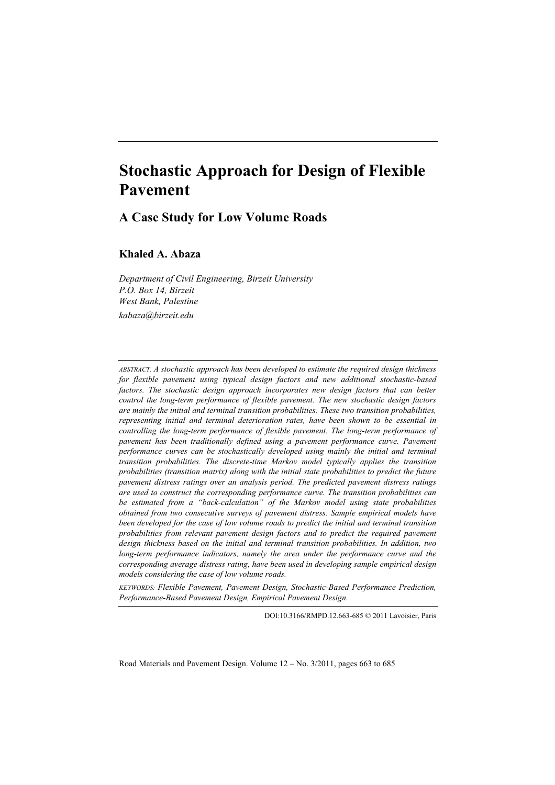# **Stochastic Approach for Design of Flexible Pavement**

### **A Case Study for Low Volume Roads**

**Khaled A. Abaza**

*Department of Civil Engineering, Birzeit University P.O. Box 14, Birzeit West Bank, Palestine kabaza@birzeit.edu*

*ABSTRACT. A stochastic approach has been developed to estimate the required design thickness for flexible pavement using typical design factors and new additional stochastic-based factors. The stochastic design approach incorporates new design factors that can better control the long-term performance of flexible pavement. The new stochastic design factors are mainly the initial and terminal transition probabilities. These two transition probabilities, representing initial and terminal deterioration rates, have been shown to be essential in controlling the long-term performance of flexible pavement. The long-term performance of pavement has been traditionally defined using a pavement performance curve. Pavement performance curves can be stochastically developed using mainly the initial and terminal transition probabilities. The discrete-time Markov model typically applies the transition probabilities (transition matrix) along with the initial state probabilities to predict the future pavement distress ratings over an analysis period. The predicted pavement distress ratings are used to construct the corresponding performance curve. The transition probabilities can be estimated from a "back-calculation" of the Markov model using state probabilities obtained from two consecutive surveys of pavement distress. Sample empirical models have been developed for the case of low volume roads to predict the initial and terminal transition probabilities from relevant pavement design factors and to predict the required pavement design thickness based on the initial and terminal transition probabilities. In addition, two long-term performance indicators, namely the area under the performance curve and the corresponding average distress rating, have been used in developing sample empirical design models considering the case of low volume roads.*

*KEYWORDS: Flexible Pavement, Pavement Design, Stochastic-Based Performance Prediction, Performance-Based Pavement Design, Empirical Pavement Design.*

DOI:10.3166/RMPD.12.663-685 © 2011 Lavoisier, Paris

Road Materials and Pavement Design. Volume 12 – No. 3/2011, pages 663 to 685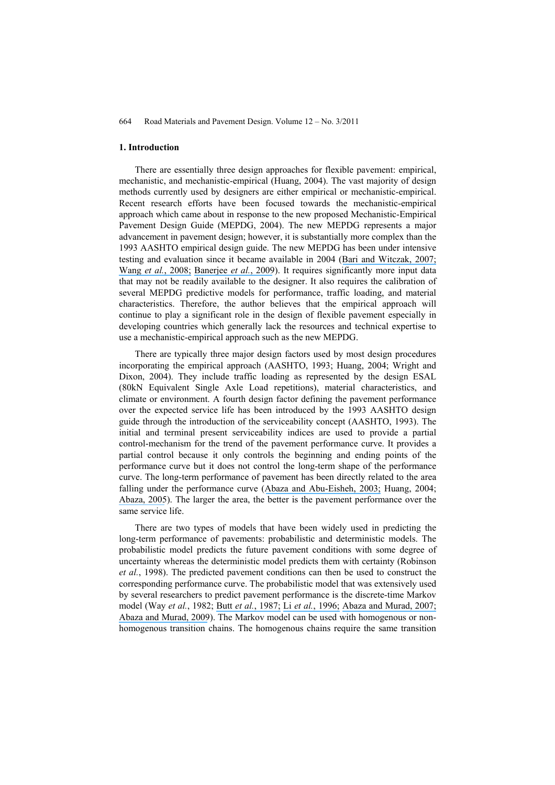#### **1. Introduction**

There are essentially three design approaches for flexible pavement: empirical, mechanistic, and mechanistic-empirical (Huang, 2004). The vast majority of design methods currently used by designers are either empirical or mechanistic-empirical. Recent research efforts have been focused towards the mechanistic-empirical approach which came about in response to the new proposed Mechanistic-Empirical Pavement Design Guide (MEPDG, 2004). The new MEPDG represents a major advancement in pavement design; however, it is substantially more complex than the 1993 AASHTO empirical design guide. The new MEPDG has been under intensive testing and evaluation since it became available in 2004 ([Bari and Witczak, 2007;](https://www.researchgate.net/publication/245561795_New_Predictive_Models_for_Viscosity_and_Complex_Shear_Modulus_of_Asphalt_Binders_For_Use_with_Mechanistic-Empirical_Pavement_Design_Guide?el=1_x_8&enrichId=rgreq-586e798f26b4d65e18ad21651c016afc-XXX&enrichSource=Y292ZXJQYWdlOzIzMjkwMDgxNjtBUzoxOTc1NDUyNzcwMzg2MDJAMTQyNDEwOTg3MjQzNQ==) Wang *et al.*[, 2008;](https://www.researchgate.net/publication/245562972_Database_Support_for_the_New_Mechanistic-Empirical_Pavement_Design_Guide?el=1_x_8&enrichId=rgreq-586e798f26b4d65e18ad21651c016afc-XXX&enrichSource=Y292ZXJQYWdlOzIzMjkwMDgxNjtBUzoxOTc1NDUyNzcwMzg2MDJAMTQyNDEwOTg3MjQzNQ==) [Banerjee](https://www.researchgate.net/publication/245563271_Calibration_of_Mechanistic-Empirical_Pavement_Design_Guide_Permanent_Deformation_Models_Texas_Experience_with_Long-Term_Pavement_Performance?el=1_x_8&enrichId=rgreq-586e798f26b4d65e18ad21651c016afc-XXX&enrichSource=Y292ZXJQYWdlOzIzMjkwMDgxNjtBUzoxOTc1NDUyNzcwMzg2MDJAMTQyNDEwOTg3MjQzNQ==) *et al.*, 2009). It requires significantly more input data that may not be readily available to the designer. It also requires the calibration of several MEPDG predictive models for performance, traffic loading, and material characteristics. Therefore, the author believes that the empirical approach will continue to play a significant role in the design of flexible pavement especially in developing countries which generally lack the resources and technical expertise to use a mechanistic-empirical approach such as the new MEPDG.

There are typically three major design factors used by most design procedures incorporating the empirical approach (AASHTO, 1993; Huang, 2004; Wright and Dixon, 2004). They include traffic loading as represented by the design ESAL (80kN Equivalent Single Axle Load repetitions), material characteristics, and climate or environment. A fourth design factor defining the pavement performance over the expected service life has been introduced by the 1993 AASHTO design guide through the introduction of the serviceability concept (AASHTO, 1993). The initial and terminal present serviceability indices are used to provide a partial control-mechanism for the trend of the pavement performance curve. It provides a partial control because it only controls the beginning and ending points of the performance curve but it does not control the long-term shape of the performance curve. The long-term performance of pavement has been directly related to the area falling under the performance curve ([Abaza and Abu-Eisheh, 2003;](https://www.researchgate.net/publication/270647394_An_Optimum_Design_Approach_for_Flexible_Pavements?el=1_x_8&enrichId=rgreq-586e798f26b4d65e18ad21651c016afc-XXX&enrichSource=Y292ZXJQYWdlOzIzMjkwMDgxNjtBUzoxOTc1NDUyNzcwMzg2MDJAMTQyNDEwOTg3MjQzNQ==) Huang, 2004; [Abaza, 2005](https://www.researchgate.net/publication/245307051_Performance-Based_Models_for_Flexible_Pavement_Structural_Overlay_Design?el=1_x_8&enrichId=rgreq-586e798f26b4d65e18ad21651c016afc-XXX&enrichSource=Y292ZXJQYWdlOzIzMjkwMDgxNjtBUzoxOTc1NDUyNzcwMzg2MDJAMTQyNDEwOTg3MjQzNQ==)). The larger the area, the better is the pavement performance over the same service life.

There are two types of models that have been widely used in predicting the long-term performance of pavements: probabilistic and deterministic models. The probabilistic model predicts the future pavement conditions with some degree of uncertainty whereas the deterministic model predicts them with certainty (Robinson *et al.*, 1998). The predicted pavement conditions can then be used to construct the corresponding performance curve. The probabilistic model that was extensively used by several researchers to predict pavement performance is the discrete-time Markov model (Way *et al.*, 1982; Butt *et al.*[, 1987;](https://www.researchgate.net/publication/292009585_PAVEMENT_PERFORMANCE_PREDICTION_MODEL_USING_THE_MARKOV_PROCESS?el=1_x_8&enrichId=rgreq-586e798f26b4d65e18ad21651c016afc-XXX&enrichSource=Y292ZXJQYWdlOzIzMjkwMDgxNjtBUzoxOTc1NDUyNzcwMzg2MDJAMTQyNDEwOTg3MjQzNQ==) Li *et al.*[, 1996;](https://www.researchgate.net/publication/245557363_Reliability-Based_Processing_of_Markov_Chains_for_Modeling_Pavement_Network_Deterioration?el=1_x_8&enrichId=rgreq-586e798f26b4d65e18ad21651c016afc-XXX&enrichSource=Y292ZXJQYWdlOzIzMjkwMDgxNjtBUzoxOTc1NDUyNzcwMzg2MDJAMTQyNDEwOTg3MjQzNQ==) [Abaza and Murad, 2007;](https://www.researchgate.net/publication/239439123_Dynamic_Probabilistic_Approach_for_Long-Term_Pavement_Restoration_Program_with_Added_User_Cost?el=1_x_8&enrichId=rgreq-586e798f26b4d65e18ad21651c016afc-XXX&enrichSource=Y292ZXJQYWdlOzIzMjkwMDgxNjtBUzoxOTc1NDUyNzcwMzg2MDJAMTQyNDEwOTg3MjQzNQ==) [Abaza and Murad, 2009](https://www.researchgate.net/publication/245562577_Predicting_Remaining_Strength_of_Flexible_Pavement_and_Overlay_Design_Thickness_with_Stochastic_Modeling?el=1_x_8&enrichId=rgreq-586e798f26b4d65e18ad21651c016afc-XXX&enrichSource=Y292ZXJQYWdlOzIzMjkwMDgxNjtBUzoxOTc1NDUyNzcwMzg2MDJAMTQyNDEwOTg3MjQzNQ==)). The Markov model can be used with homogenous or nonhomogenous transition chains. The homogenous chains require the same transition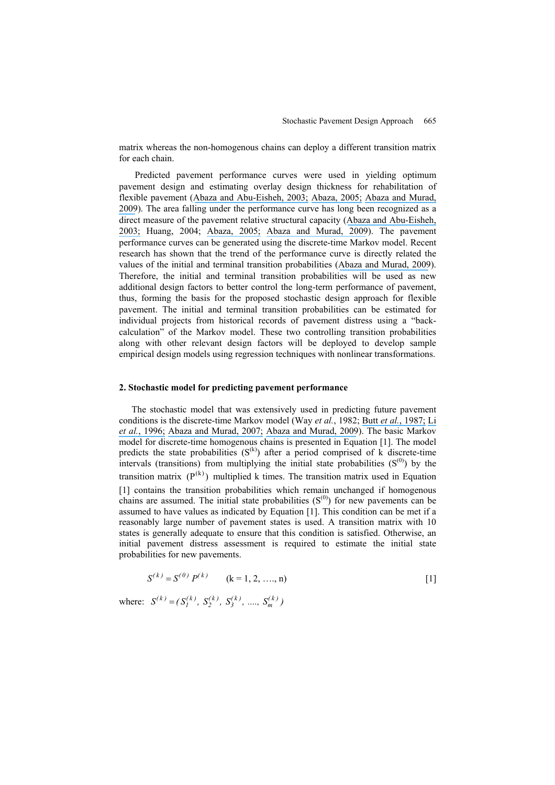matrix whereas the non-homogenous chains can deploy a different transition matrix for each chain.

Predicted pavement performance curves were used in yielding optimum pavement design and estimating overlay design thickness for rehabilitation of flexible pavement ([Abaza and Abu-Eisheh, 2003;](https://www.researchgate.net/publication/270647394_An_Optimum_Design_Approach_for_Flexible_Pavements?el=1_x_8&enrichId=rgreq-586e798f26b4d65e18ad21651c016afc-XXX&enrichSource=Y292ZXJQYWdlOzIzMjkwMDgxNjtBUzoxOTc1NDUyNzcwMzg2MDJAMTQyNDEwOTg3MjQzNQ==) [Abaza, 2005;](https://www.researchgate.net/publication/245307051_Performance-Based_Models_for_Flexible_Pavement_Structural_Overlay_Design?el=1_x_8&enrichId=rgreq-586e798f26b4d65e18ad21651c016afc-XXX&enrichSource=Y292ZXJQYWdlOzIzMjkwMDgxNjtBUzoxOTc1NDUyNzcwMzg2MDJAMTQyNDEwOTg3MjQzNQ==) [Abaza and Murad,](https://www.researchgate.net/publication/245562577_Predicting_Remaining_Strength_of_Flexible_Pavement_and_Overlay_Design_Thickness_with_Stochastic_Modeling?el=1_x_8&enrichId=rgreq-586e798f26b4d65e18ad21651c016afc-XXX&enrichSource=Y292ZXJQYWdlOzIzMjkwMDgxNjtBUzoxOTc1NDUyNzcwMzg2MDJAMTQyNDEwOTg3MjQzNQ==) [2009](https://www.researchgate.net/publication/245562577_Predicting_Remaining_Strength_of_Flexible_Pavement_and_Overlay_Design_Thickness_with_Stochastic_Modeling?el=1_x_8&enrichId=rgreq-586e798f26b4d65e18ad21651c016afc-XXX&enrichSource=Y292ZXJQYWdlOzIzMjkwMDgxNjtBUzoxOTc1NDUyNzcwMzg2MDJAMTQyNDEwOTg3MjQzNQ==)). The area falling under the performance curve has long been recognized as a direct measure of the pavement relative structural capacity ([Abaza and Abu-Eisheh,](https://www.researchgate.net/publication/270647394_An_Optimum_Design_Approach_for_Flexible_Pavements?el=1_x_8&enrichId=rgreq-586e798f26b4d65e18ad21651c016afc-XXX&enrichSource=Y292ZXJQYWdlOzIzMjkwMDgxNjtBUzoxOTc1NDUyNzcwMzg2MDJAMTQyNDEwOTg3MjQzNQ==) [2003;](https://www.researchgate.net/publication/270647394_An_Optimum_Design_Approach_for_Flexible_Pavements?el=1_x_8&enrichId=rgreq-586e798f26b4d65e18ad21651c016afc-XXX&enrichSource=Y292ZXJQYWdlOzIzMjkwMDgxNjtBUzoxOTc1NDUyNzcwMzg2MDJAMTQyNDEwOTg3MjQzNQ==) Huang, 2004; [Abaza, 2005;](https://www.researchgate.net/publication/245307051_Performance-Based_Models_for_Flexible_Pavement_Structural_Overlay_Design?el=1_x_8&enrichId=rgreq-586e798f26b4d65e18ad21651c016afc-XXX&enrichSource=Y292ZXJQYWdlOzIzMjkwMDgxNjtBUzoxOTc1NDUyNzcwMzg2MDJAMTQyNDEwOTg3MjQzNQ==) [Abaza and Murad, 2009](https://www.researchgate.net/publication/245562577_Predicting_Remaining_Strength_of_Flexible_Pavement_and_Overlay_Design_Thickness_with_Stochastic_Modeling?el=1_x_8&enrichId=rgreq-586e798f26b4d65e18ad21651c016afc-XXX&enrichSource=Y292ZXJQYWdlOzIzMjkwMDgxNjtBUzoxOTc1NDUyNzcwMzg2MDJAMTQyNDEwOTg3MjQzNQ==)). The pavement performance curves can be generated using the discrete-time Markov model. Recent research has shown that the trend of the performance curve is directly related the values of the initial and terminal transition probabilities ([Abaza and Murad, 2009](https://www.researchgate.net/publication/245562577_Predicting_Remaining_Strength_of_Flexible_Pavement_and_Overlay_Design_Thickness_with_Stochastic_Modeling?el=1_x_8&enrichId=rgreq-586e798f26b4d65e18ad21651c016afc-XXX&enrichSource=Y292ZXJQYWdlOzIzMjkwMDgxNjtBUzoxOTc1NDUyNzcwMzg2MDJAMTQyNDEwOTg3MjQzNQ==)). Therefore, the initial and terminal transition probabilities will be used as new additional design factors to better control the long-term performance of pavement, thus, forming the basis for the proposed stochastic design approach for flexible pavement. The initial and terminal transition probabilities can be estimated for individual projects from historical records of pavement distress using a "backcalculation" of the Markov model. These two controlling transition probabilities along with other relevant design factors will be deployed to develop sample empirical design models using regression techniques with nonlinear transformations.

#### **2. Stochastic model for predicting pavement performance**

The stochastic model that was extensively used in predicting future pavement conditions is the discrete-time Markov model (Way *et al.*, 1982; Butt *et al.*[, 1987;](https://www.researchgate.net/publication/292009585_PAVEMENT_PERFORMANCE_PREDICTION_MODEL_USING_THE_MARKOV_PROCESS?el=1_x_8&enrichId=rgreq-586e798f26b4d65e18ad21651c016afc-XXX&enrichSource=Y292ZXJQYWdlOzIzMjkwMDgxNjtBUzoxOTc1NDUyNzcwMzg2MDJAMTQyNDEwOTg3MjQzNQ==) [Li](https://www.researchgate.net/publication/245557363_Reliability-Based_Processing_of_Markov_Chains_for_Modeling_Pavement_Network_Deterioration?el=1_x_8&enrichId=rgreq-586e798f26b4d65e18ad21651c016afc-XXX&enrichSource=Y292ZXJQYWdlOzIzMjkwMDgxNjtBUzoxOTc1NDUyNzcwMzg2MDJAMTQyNDEwOTg3MjQzNQ==) *et al.*[, 1996;](https://www.researchgate.net/publication/245557363_Reliability-Based_Processing_of_Markov_Chains_for_Modeling_Pavement_Network_Deterioration?el=1_x_8&enrichId=rgreq-586e798f26b4d65e18ad21651c016afc-XXX&enrichSource=Y292ZXJQYWdlOzIzMjkwMDgxNjtBUzoxOTc1NDUyNzcwMzg2MDJAMTQyNDEwOTg3MjQzNQ==) [Abaza and Murad, 2007;](https://www.researchgate.net/publication/239439123_Dynamic_Probabilistic_Approach_for_Long-Term_Pavement_Restoration_Program_with_Added_User_Cost?el=1_x_8&enrichId=rgreq-586e798f26b4d65e18ad21651c016afc-XXX&enrichSource=Y292ZXJQYWdlOzIzMjkwMDgxNjtBUzoxOTc1NDUyNzcwMzg2MDJAMTQyNDEwOTg3MjQzNQ==) [Abaza and Murad, 2009](https://www.researchgate.net/publication/245562577_Predicting_Remaining_Strength_of_Flexible_Pavement_and_Overlay_Design_Thickness_with_Stochastic_Modeling?el=1_x_8&enrichId=rgreq-586e798f26b4d65e18ad21651c016afc-XXX&enrichSource=Y292ZXJQYWdlOzIzMjkwMDgxNjtBUzoxOTc1NDUyNzcwMzg2MDJAMTQyNDEwOTg3MjQzNQ==)). The basic Markov model for discrete-time homogenous chains is presented in Equation [1]. The model predicts the state probabilities  $(S^{(k)})$  after a period comprised of k discrete-time intervals (transitions) from multiplying the initial state probabilities  $(S^{(0)})$  by the transition matrix  $(P^{(k)})$  multiplied k times. The transition matrix used in Equation [1] contains the transition probabilities which remain unchanged if homogenous chains are assumed. The initial state probabilities  $(S^{(0)})$  for new pavements can be assumed to have values as indicated by Equation [1]. This condition can be met if a reasonably large number of pavement states is used. A transition matrix with 10 states is generally adequate to ensure that this condition is satisfied. Otherwise, an initial pavement distress assessment is required to estimate the initial state probabilities for new pavements.

$$
S^{(k)} = S^{(0)} P^{(k)} \qquad (k = 1, 2, \dots, n)
$$
 [1]

where:  $S^{(k)} = (S_1^{(k)}, S_2^{(k)}, S_3^{(k)}, ..., S_m^{(k)})$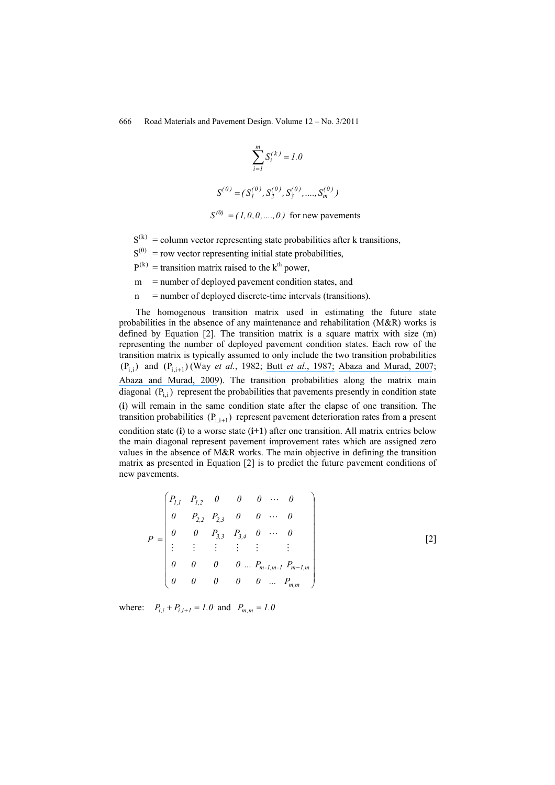$$
\sum_{i=1}^{m} S_i^{(k)} = 1.0
$$
  

$$
S^{(0)} = (S_1^{(0)}, S_2^{(0)}, S_3^{(0)}, \dots, S_m^{(0)})
$$

 $S^{(0)} = (1,0,0,...,0)$  for new pavements

- $S^{(k)}$  = column vector representing state probabilities after k transitions,
- $S^{(0)}$  = row vector representing initial state probabilities,
- $P^{(k)}$  = transition matrix raised to the k<sup>th</sup> power,
- m = number of deployed pavement condition states, and
- n = number of deployed discrete-time intervals (transitions).

The homogenous transition matrix used in estimating the future state probabilities in the absence of any maintenance and rehabilitation (M&R) works is defined by Equation [2]. The transition matrix is a square matrix with size (m) representing the number of deployed pavement condition states. Each row of the transition matrix is typically assumed to only include the two transition probabilities  $(P_{i,j})$  and  $(P_{i,i+1})$  (Way *et al.*, 1982; Butt *et al.*[, 1987;](https://www.researchgate.net/publication/292009585_PAVEMENT_PERFORMANCE_PREDICTION_MODEL_USING_THE_MARKOV_PROCESS?el=1_x_8&enrichId=rgreq-586e798f26b4d65e18ad21651c016afc-XXX&enrichSource=Y292ZXJQYWdlOzIzMjkwMDgxNjtBUzoxOTc1NDUyNzcwMzg2MDJAMTQyNDEwOTg3MjQzNQ==) [Abaza and Murad, 2007](https://www.researchgate.net/publication/239439123_Dynamic_Probabilistic_Approach_for_Long-Term_Pavement_Restoration_Program_with_Added_User_Cost?el=1_x_8&enrichId=rgreq-586e798f26b4d65e18ad21651c016afc-XXX&enrichSource=Y292ZXJQYWdlOzIzMjkwMDgxNjtBUzoxOTc1NDUyNzcwMzg2MDJAMTQyNDEwOTg3MjQzNQ==); [Abaza and Murad, 2009](https://www.researchgate.net/publication/245562577_Predicting_Remaining_Strength_of_Flexible_Pavement_and_Overlay_Design_Thickness_with_Stochastic_Modeling?el=1_x_8&enrichId=rgreq-586e798f26b4d65e18ad21651c016afc-XXX&enrichSource=Y292ZXJQYWdlOzIzMjkwMDgxNjtBUzoxOTc1NDUyNzcwMzg2MDJAMTQyNDEwOTg3MjQzNQ==)). The transition probabilities along the matrix main diagonal  $(P_{i,i})$  represent the probabilities that pavements presently in condition state (**i**) will remain in the same condition state after the elapse of one transition. The transition probabilities  $(P_{i,i+1})$  represent pavement deterioration rates from a present condition state (**i**) to a worse state (**i+1**) after one transition. All matrix entries below the main diagonal represent pavement improvement rates which are assigned zero values in the absence of M&R works. The main objective in defining the transition matrix as presented in Equation [2] is to predict the future pavement conditions of new pavements.

$$
P = \begin{pmatrix} P_{l,1} & P_{l,2} & 0 & 0 & 0 & \cdots & 0 \\ 0 & P_{2,2} & P_{2,3} & 0 & 0 & \cdots & 0 \\ 0 & 0 & P_{3,3} & P_{3,4} & 0 & \cdots & 0 \\ \vdots & \vdots & \vdots & \vdots & \vdots & \vdots & \vdots \\ 0 & 0 & 0 & 0 & \cdots & P_{m-l,m-l} & P_{m-l,m} \\ 0 & 0 & 0 & 0 & \cdots & P_{m,m} \end{pmatrix}
$$

[2]

where:  $P_{i,i} + P_{i,i+1} = 1.0$  and  $P_{m,m} = 1.0$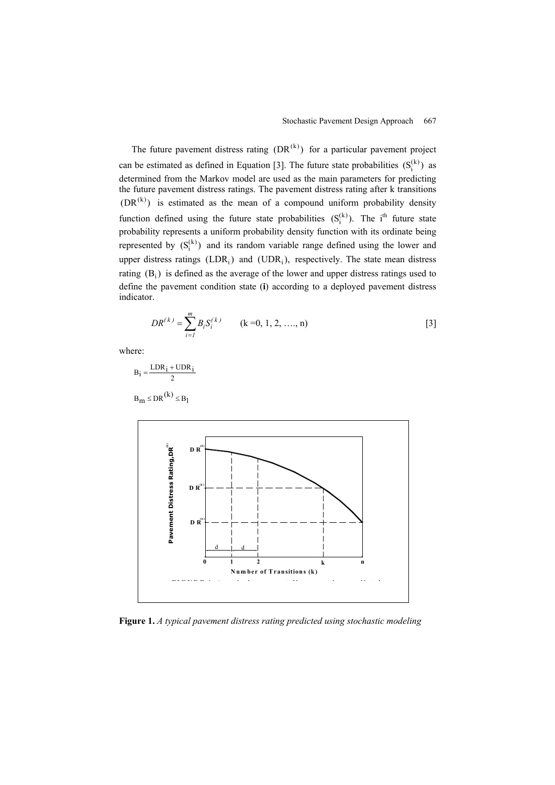The future pavement distress rating  $(DR^{(k)})$  for a particular pavement project can be estimated as defined in Equation [3]. The future state probabilities  $(S_i^{(k)})$  as determined from the Markov model are used as the main parameters for predicting the future pavement distress ratings. The pavement distress rating after k transitions  $(DR^{(k)})$  is estimated as the mean of a compound uniform probability density function defined using the future state probabilities  $(S_i^{(k)})$ . The i<sup>th</sup> future state probability represents a uniform probability density function with its ordinate being represented by  $(S_i^{(k)})$  and its random variable range defined using the lower and upper distress ratings (LDR<sub>i</sub>) and (UDR<sub>i</sub>), respectively. The state mean distress rating  $(B_i)$  is defined as the average of the lower and upper distress ratings used to define the pavement condition state (**i**) according to a deployed pavement distress indicator.

$$
DR^{(k)} = \sum_{i=1}^{m} B_i S_i^{(k)}
$$
 (k =0, 1, 2, ..., n) [3]

where:

$$
B_i = \frac{LDR_i + UDR_i}{2}
$$

$$
B_m \leq DR^{(k)} \leq B_l
$$



**Figure 1.** *A typical pavement distress rating predicted using stochastic modeling*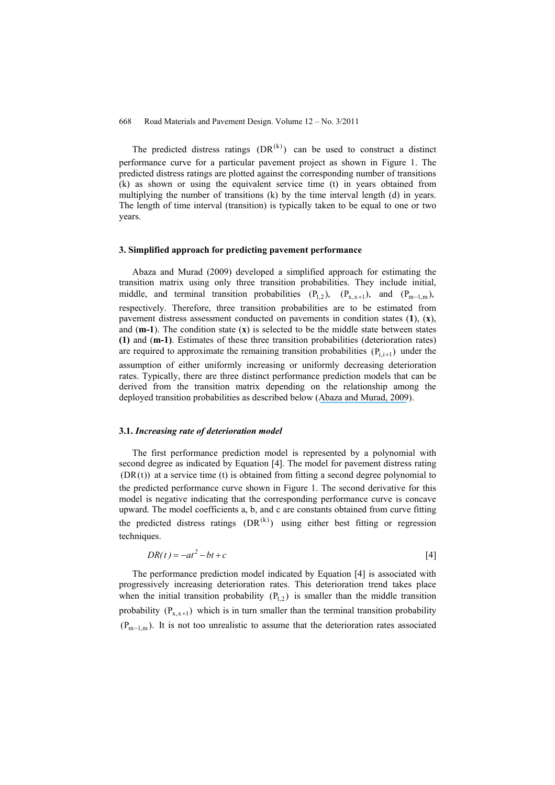The predicted distress ratings  $(DR^{(k)})$  can be used to construct a distinct performance curve for a particular pavement project as shown in Figure 1. The predicted distress ratings are plotted against the corresponding number of transitions (k) as shown or using the equivalent service time (t) in years obtained from multiplying the number of transitions (k) by the time interval length (d) in years. The length of time interval (transition) is typically taken to be equal to one or two years.

#### **3. Simplified approach for predicting pavement performance**

Abaza and Murad (2009) developed a simplified approach for estimating the transition matrix using only three transition probabilities. They include initial, middle, and terminal transition probabilities  $(P_{1,2})$ ,  $(P_{x,x+1})$ , and  $(P_{m-1,m})$ , respectively. Therefore, three transition probabilities are to be estimated from pavement distress assessment conducted on pavements in condition states (**1**), (**x**), and (**m-1**). The condition state (**x**) is selected to be the middle state between states **(1)** and (**m-1)**. Estimates of these three transition probabilities (deterioration rates) are required to approximate the remaining transition probabilities  $(P_{i,i+1})$  under the assumption of either uniformly increasing or uniformly decreasing deterioration rates. Typically, there are three distinct performance prediction models that can be derived from the transition matrix depending on the relationship among the deployed transition probabilities as described below ([Abaza and Murad, 2009](https://www.researchgate.net/publication/245562577_Predicting_Remaining_Strength_of_Flexible_Pavement_and_Overlay_Design_Thickness_with_Stochastic_Modeling?el=1_x_8&enrichId=rgreq-586e798f26b4d65e18ad21651c016afc-XXX&enrichSource=Y292ZXJQYWdlOzIzMjkwMDgxNjtBUzoxOTc1NDUyNzcwMzg2MDJAMTQyNDEwOTg3MjQzNQ==)).

#### **3.1.** *Increasing rate of deterioration model*

The first performance prediction model is represented by a polynomial with second degree as indicated by Equation [4]. The model for pavement distress rating  $(DR(t))$  at a service time (t) is obtained from fitting a second degree polynomial to the predicted performance curve shown in Figure 1. The second derivative for this model is negative indicating that the corresponding performance curve is concave upward. The model coefficients a, b, and c are constants obtained from curve fitting the predicted distress ratings  $(DR^{(k)})$  using either best fitting or regression techniques.

$$
DR(t) = -at^2 - bt + c \tag{4}
$$

The performance prediction model indicated by Equation [4] is associated with progressively increasing deterioration rates. This deterioration trend takes place when the initial transition probability  $(P_{12})$  is smaller than the middle transition probability  $(P_{x,x+1})$  which is in turn smaller than the terminal transition probability  $(P_{m-1,m})$ . It is not too unrealistic to assume that the deterioration rates associated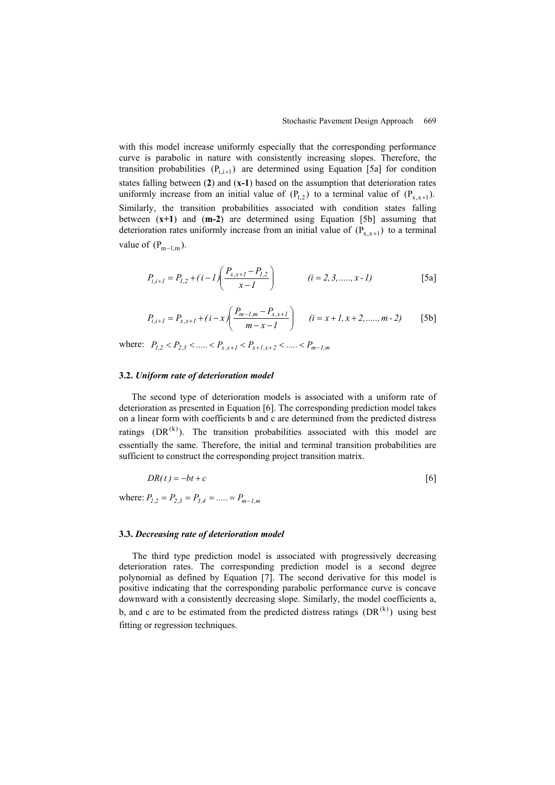with this model increase uniformly especially that the corresponding performance curve is parabolic in nature with consistently increasing slopes. Therefore, the transition probabilities  $(P_{i,i+1})$  are determined using Equation [5a] for condition states falling between (**2**) and (**x-1**) based on the assumption that deterioration rates uniformly increase from an initial value of  $(P_{1,2})$  to a terminal value of  $(P_{x,x+1})$ . Similarly, the transition probabilities associated with condition states falling between (**x+1**) and (**m-2**) are determined using Equation [5b] assuming that deterioration rates uniformly increase from an initial value of  $(P_{x.x+1})$  to a terminal value of  $(P_{m-1,m})$ .

$$
P_{i,i+1} = P_{1,2} + (i - 1) \left( \frac{P_{x,x+1} - P_{1,2}}{x - 1} \right) \qquad (i = 2, 3, \dots, x - 1)
$$
 [5a]

$$
P_{i,i+1} = P_{x,x+1} + (i - x) \left( \frac{P_{m-1,m} - P_{x,x+1}}{m - x - 1} \right) \qquad (i = x+1, x+2, \dots, m-2) \qquad [5b]
$$

where:  $P_{1,2} < P_{2,3} < ... < P_{x,x+1} < P_{x+1,x+2} < ... < P_{m-1,m}$ 

#### **3.2.** *Uniform rate of deterioration model*

The second type of deterioration models is associated with a uniform rate of deterioration as presented in Equation [6]. The corresponding prediction model takes on a linear form with coefficients b and c are determined from the predicted distress ratings  $(DR^{(k)})$ . The transition probabilities associated with this model are essentially the same. Therefore, the initial and terminal transition probabilities are sufficient to construct the corresponding project transition matrix.

$$
DR(t) = -bt + c \tag{6}
$$

where:  $P_{1,2} = P_{2,3} = P_{3,4} = \dots = P_{m-1,m}$ 

#### **3.3.** *Decreasing rate of deterioration model*

The third type prediction model is associated with progressively decreasing deterioration rates. The corresponding prediction model is a second degree polynomial as defined by Equation [7]. The second derivative for this model is positive indicating that the corresponding parabolic performance curve is concave downward with a consistently decreasing slope. Similarly, the model coefficients a, b, and c are to be estimated from the predicted distress ratings  $(DR^{(k)})$  using best fitting or regression techniques.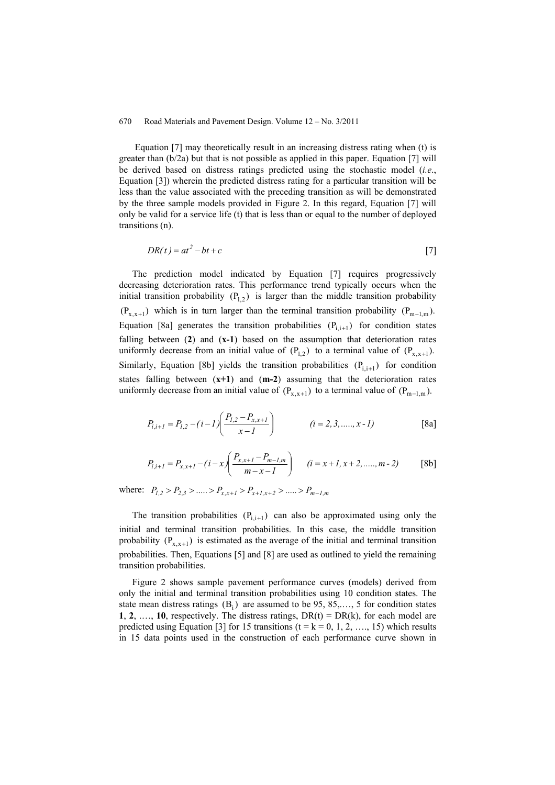Equation [7] may theoretically result in an increasing distress rating when (t) is greater than (b/2a) but that is not possible as applied in this paper. Equation [7] will be derived based on distress ratings predicted using the stochastic model (*i.e*., Equation [3]) wherein the predicted distress rating for a particular transition will be less than the value associated with the preceding transition as will be demonstrated by the three sample models provided in Figure 2. In this regard, Equation [7] will only be valid for a service life (t) that is less than or equal to the number of deployed transitions (n).

$$
DR(t) = at^2 - bt + c \tag{7}
$$

The prediction model indicated by Equation [7] requires progressively decreasing deterioration rates. This performance trend typically occurs when the initial transition probability  $(P_{12})$  is larger than the middle transition probability  $(P_{x,x+1})$  which is in turn larger than the terminal transition probability  $(P_{m-1,m})$ . Equation [8a] generates the transition probabilities  $(P_{i,i+1})$  for condition states falling between (**2**) and (**x-1**) based on the assumption that deterioration rates uniformly decrease from an initial value of  $(P_{1,2})$  to a terminal value of  $(P_{x,x+1})$ . Similarly, Equation [8b] yields the transition probabilities  $(P_{i,i+1})$  for condition states falling between (**x+1**) and (**m-2**) assuming that the deterioration rates uniformly decrease from an initial value of  $(P_{x.x+1})$  to a terminal value of  $(P_{m-1,m})$ .

$$
P_{i,i+1} = P_{1,2} - (i - 1) \left( \frac{P_{1,2} - P_{x,x+1}}{x - 1} \right) \qquad (i = 2, 3, \dots, x - 1)
$$
 [8a]

$$
P_{i,i+1} = P_{x,x+1} - (i - x) \left( \frac{P_{x,x+1} - P_{m-1,m}}{m - x - 1} \right) \qquad (i = x+1, x+2, \dots, m-2)
$$
 [8b]

where:  $P_{1,2} > P_{2,3} > .... > P_{x,x+1} > P_{x+1,x+2} > .... > P_{m-1,m}$ 

The transition probabilities  $(P_{i,i+1})$  can also be approximated using only the initial and terminal transition probabilities. In this case, the middle transition probability  $(P_{x,x+1})$  is estimated as the average of the initial and terminal transition probabilities. Then, Equations [5] and [8] are used as outlined to yield the remaining transition probabilities.

Figure 2 shows sample pavement performance curves (models) derived from only the initial and terminal transition probabilities using 10 condition states. The state mean distress ratings  $(B_i)$  are assumed to be 95, 85,..., 5 for condition states **1**, **2**, ..., **10**, respectively. The distress ratings,  $DR(t) = DR(k)$ , for each model are predicted using Equation [3] for 15 transitions ( $t = k = 0, 1, 2, \ldots, 15$ ) which results in 15 data points used in the construction of each performance curve shown in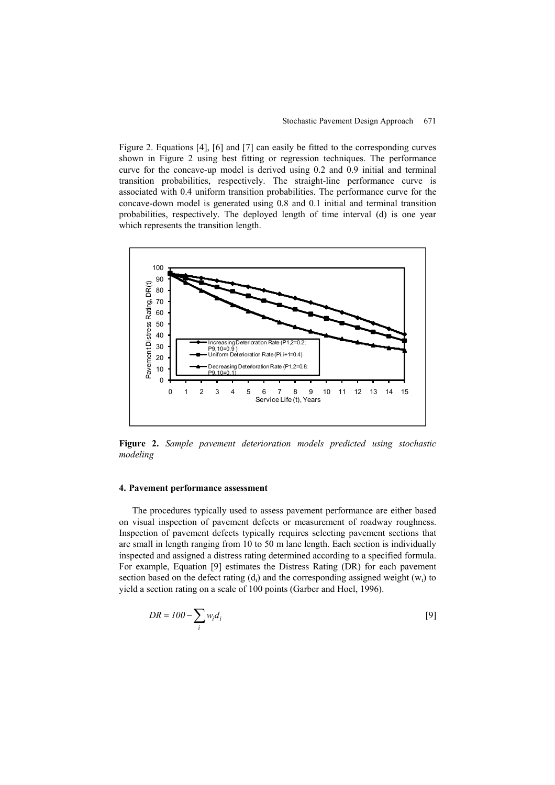Figure 2. Equations [4], [6] and [7] can easily be fitted to the corresponding curves shown in Figure 2 using best fitting or regression techniques. The performance curve for the concave-up model is derived using 0.2 and 0.9 initial and terminal transition probabilities, respectively. The straight-line performance curve is associated with 0.4 uniform transition probabilities. The performance curve for the concave-down model is generated using 0.8 and 0.1 initial and terminal transition probabilities, respectively. The deployed length of time interval (d) is one year which represents the transition length.



**Figure 2.** *Sample pavement deterioration models predicted using stochastic modeling*

#### **4. Pavement performance assessment**

The procedures typically used to assess pavement performance are either based on visual inspection of pavement defects or measurement of roadway roughness. Inspection of pavement defects typically requires selecting pavement sections that are small in length ranging from 10 to 50 m lane length. Each section is individually inspected and assigned a distress rating determined according to a specified formula. For example, Equation [9] estimates the Distress Rating (DR) for each pavement section based on the defect rating  $(d_i)$  and the corresponding assigned weight  $(w_i)$  to yield a section rating on a scale of 100 points (Garber and Hoel, 1996).

$$
DR = 100 - \sum_{i} w_i d_i
$$
 [9]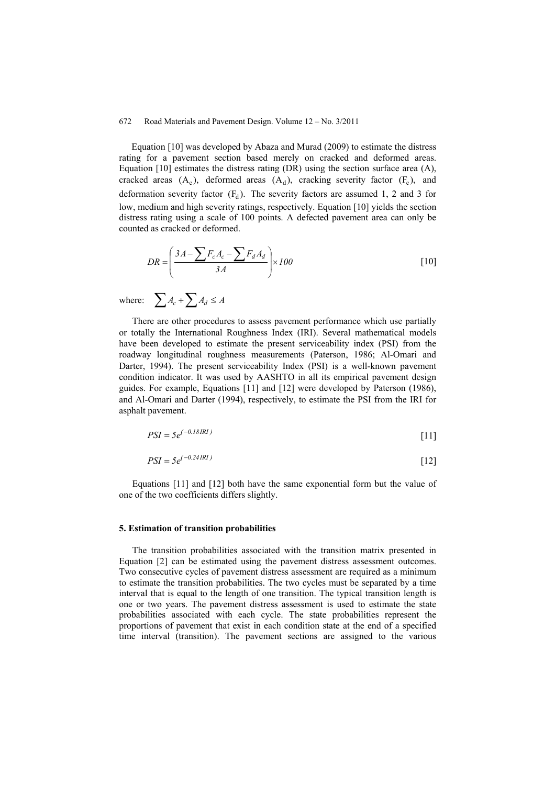Equation [10] was developed by Abaza and Murad (2009) to estimate the distress rating for a pavement section based merely on cracked and deformed areas. Equation [10] estimates the distress rating (DR) using the section surface area (A), cracked areas  $(A_c)$ , deformed areas  $(A_d)$ , cracking severity factor  $(F_c)$ , and deformation severity factor  $(F_d)$ . The severity factors are assumed 1, 2 and 3 for low, medium and high severity ratings, respectively. Equation [10] yields the section distress rating using a scale of 100 points. A defected pavement area can only be counted as cracked or deformed.

$$
DR = \left(\frac{3A - \sum F_c A_c - \sum F_d A_d}{3A}\right) \times 100
$$
\n<sup>(10)</sup>

where:  $\sum A_c + \sum A_d \leq A$ 

There are other procedures to assess pavement performance which use partially or totally the International Roughness Index (IRI). Several mathematical models have been developed to estimate the present serviceability index (PSI) from the roadway longitudinal roughness measurements (Paterson, 1986; Al-Omari and Darter, 1994). The present serviceability Index (PSI) is a well-known pavement condition indicator. It was used by AASHTO in all its empirical pavement design guides. For example, Equations [11] and [12] were developed by Paterson (1986), and Al-Omari and Darter (1994), respectively, to estimate the PSI from the IRI for asphalt pavement.

$$
PSI = 5e^{(-0.18IRI)} \tag{11}
$$

$$
PSI = 5e^{(-0.24IRI)} \tag{12}
$$

Equations [11] and [12] both have the same exponential form but the value of one of the two coefficients differs slightly.

#### **5. Estimation of transition probabilities**

The transition probabilities associated with the transition matrix presented in Equation [2] can be estimated using the pavement distress assessment outcomes. Two consecutive cycles of pavement distress assessment are required as a minimum to estimate the transition probabilities. The two cycles must be separated by a time interval that is equal to the length of one transition. The typical transition length is one or two years. The pavement distress assessment is used to estimate the state probabilities associated with each cycle. The state probabilities represent the proportions of pavement that exist in each condition state at the end of a specified time interval (transition). The pavement sections are assigned to the various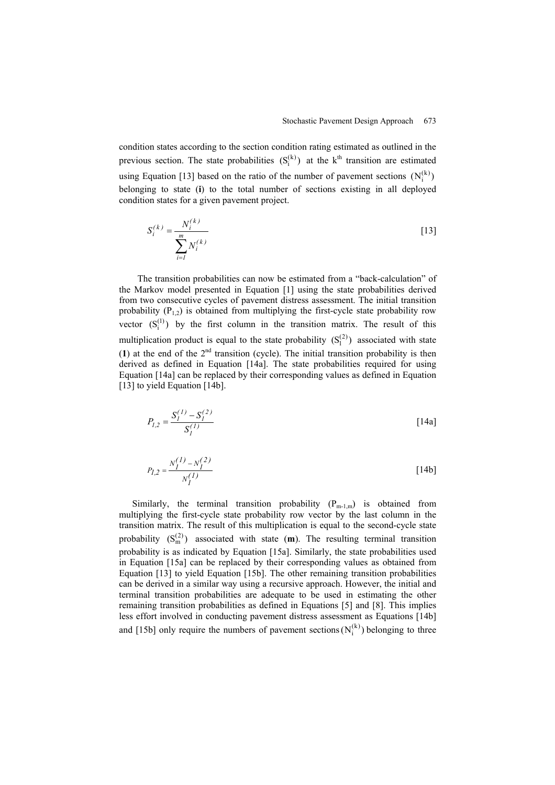condition states according to the section condition rating estimated as outlined in the previous section. The state probabilities  $(S_i^{(k)})$  at the  $k^{\text{th}}$  transition are estimated using Equation [13] based on the ratio of the number of pavement sections  $(N_i^{(k)})$ belonging to state (**i**) to the total number of sections existing in all deployed condition states for a given pavement project.

$$
S_i^{(k)} = \frac{N_i^{(k)}}{\sum_{i=1}^m N_i^{(k)}}
$$
 [13]

The transition probabilities can now be estimated from a "back-calculation" of the Markov model presented in Equation [1] using the state probabilities derived from two consecutive cycles of pavement distress assessment. The initial transition probability  $(P_{1,2})$  is obtained from multiplying the first-cycle state probability row vector  $(S_i^{(1)})$  by the first column in the transition matrix. The result of this multiplication product is equal to the state probability  $(S_1^{(2)})$  associated with state (1) at the end of the  $2<sup>nd</sup>$  transition (cycle). The initial transition probability is then derived as defined in Equation [14a]. The state probabilities required for using Equation [14a] can be replaced by their corresponding values as defined in Equation [13] to yield Equation [14b].

$$
P_{I,2} = \frac{S_I^{(1)} - S_I^{(2)}}{S_I^{(1)}}
$$
 [14a]

$$
P_{I,2} = \frac{N_I^{(1)} - N_I^{(2)}}{N_I^{(1)}}
$$
 [14b]

Similarly, the terminal transition probability  $(P_{m-1,m})$  is obtained from multiplying the first-cycle state probability row vector by the last column in the transition matrix. The result of this multiplication is equal to the second-cycle state probability  $(S_m^{(2)})$  associated with state  $(m)$ . The resulting terminal transition probability is as indicated by Equation [15a]. Similarly, the state probabilities used in Equation [15a] can be replaced by their corresponding values as obtained from Equation [13] to yield Equation [15b]. The other remaining transition probabilities can be derived in a similar way using a recursive approach. However, the initial and terminal transition probabilities are adequate to be used in estimating the other remaining transition probabilities as defined in Equations [5] and [8]. This implies less effort involved in conducting pavement distress assessment as Equations [14b] and [15b] only require the numbers of pavement sections  $(N_i^{(k)})$  belonging to three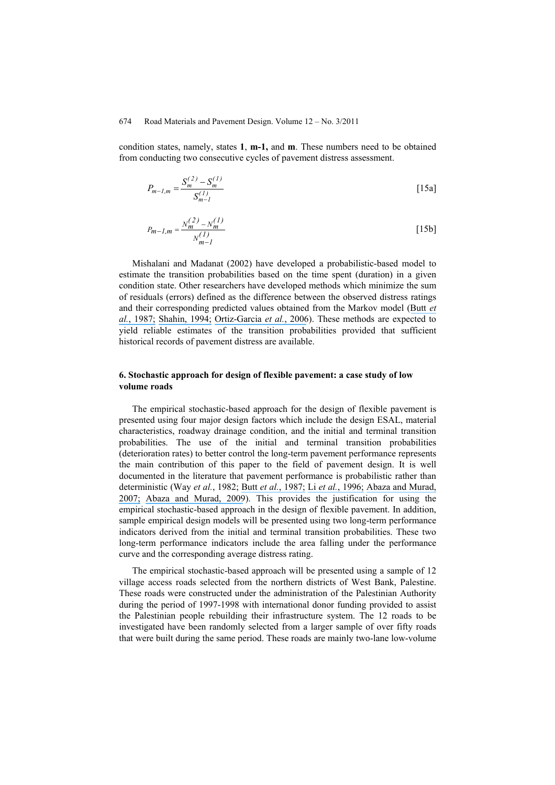condition states, namely, states **1**, **m-1,** and **m**. These numbers need to be obtained from conducting two consecutive cycles of pavement distress assessment.

$$
P_{m-l,m} = \frac{S_m^{(2)} - S_m^{(1)}}{S_{m-l}^{(1)}}
$$
 [15a]

$$
P_{m-1,m} = \frac{N_m^{(2)} - N_m^{(1)}}{N_{m-1}^{(1)}}
$$
 [15b]

Mishalani and Madanat (2002) have developed a probabilistic-based model to estimate the transition probabilities based on the time spent (duration) in a given condition state. Other researchers have developed methods which minimize the sum of residuals (errors) defined as the difference between the observed distress ratings and their corresponding predicted values obtained from the Markov model ([Butt](https://www.researchgate.net/publication/292009585_PAVEMENT_PERFORMANCE_PREDICTION_MODEL_USING_THE_MARKOV_PROCESS?el=1_x_8&enrichId=rgreq-586e798f26b4d65e18ad21651c016afc-XXX&enrichSource=Y292ZXJQYWdlOzIzMjkwMDgxNjtBUzoxOTc1NDUyNzcwMzg2MDJAMTQyNDEwOTg3MjQzNQ==) *et al.*[, 1987;](https://www.researchgate.net/publication/292009585_PAVEMENT_PERFORMANCE_PREDICTION_MODEL_USING_THE_MARKOV_PROCESS?el=1_x_8&enrichId=rgreq-586e798f26b4d65e18ad21651c016afc-XXX&enrichSource=Y292ZXJQYWdlOzIzMjkwMDgxNjtBUzoxOTc1NDUyNzcwMzg2MDJAMTQyNDEwOTg3MjQzNQ==) [Shahin, 1994;](https://www.researchgate.net/publication/291441507_Pavement_management_for_airports_roads_and_parking_lots_Second_edition?el=1_x_8&enrichId=rgreq-586e798f26b4d65e18ad21651c016afc-XXX&enrichSource=Y292ZXJQYWdlOzIzMjkwMDgxNjtBUzoxOTc1NDUyNzcwMzg2MDJAMTQyNDEwOTg3MjQzNQ==) [Ortiz-Garcia](https://www.researchgate.net/publication/245306912_Derivation_of_Transition_Probability_Matrices_for_Pavement_Deterioration_Modeling?el=1_x_8&enrichId=rgreq-586e798f26b4d65e18ad21651c016afc-XXX&enrichSource=Y292ZXJQYWdlOzIzMjkwMDgxNjtBUzoxOTc1NDUyNzcwMzg2MDJAMTQyNDEwOTg3MjQzNQ==) *et al.*, 2006). These methods are expected to yield reliable estimates of the transition probabilities provided that sufficient historical records of pavement distress are available.

#### **6. Stochastic approach for design of flexible pavement: a case study of low volume roads**

The empirical stochastic-based approach for the design of flexible pavement is presented using four major design factors which include the design ESAL, material characteristics, roadway drainage condition, and the initial and terminal transition probabilities. The use of the initial and terminal transition probabilities (deterioration rates) to better control the long-term pavement performance represents the main contribution of this paper to the field of pavement design. It is well documented in the literature that pavement performance is probabilistic rather than deterministic (Way *et al.*, 1982; Butt *et al.*[, 1987;](https://www.researchgate.net/publication/292009585_PAVEMENT_PERFORMANCE_PREDICTION_MODEL_USING_THE_MARKOV_PROCESS?el=1_x_8&enrichId=rgreq-586e798f26b4d65e18ad21651c016afc-XXX&enrichSource=Y292ZXJQYWdlOzIzMjkwMDgxNjtBUzoxOTc1NDUyNzcwMzg2MDJAMTQyNDEwOTg3MjQzNQ==) Li *et al.*[, 1996;](https://www.researchgate.net/publication/245557363_Reliability-Based_Processing_of_Markov_Chains_for_Modeling_Pavement_Network_Deterioration?el=1_x_8&enrichId=rgreq-586e798f26b4d65e18ad21651c016afc-XXX&enrichSource=Y292ZXJQYWdlOzIzMjkwMDgxNjtBUzoxOTc1NDUyNzcwMzg2MDJAMTQyNDEwOTg3MjQzNQ==) [Abaza and Murad,](https://www.researchgate.net/publication/239439123_Dynamic_Probabilistic_Approach_for_Long-Term_Pavement_Restoration_Program_with_Added_User_Cost?el=1_x_8&enrichId=rgreq-586e798f26b4d65e18ad21651c016afc-XXX&enrichSource=Y292ZXJQYWdlOzIzMjkwMDgxNjtBUzoxOTc1NDUyNzcwMzg2MDJAMTQyNDEwOTg3MjQzNQ==) [2007;](https://www.researchgate.net/publication/239439123_Dynamic_Probabilistic_Approach_for_Long-Term_Pavement_Restoration_Program_with_Added_User_Cost?el=1_x_8&enrichId=rgreq-586e798f26b4d65e18ad21651c016afc-XXX&enrichSource=Y292ZXJQYWdlOzIzMjkwMDgxNjtBUzoxOTc1NDUyNzcwMzg2MDJAMTQyNDEwOTg3MjQzNQ==) [Abaza and Murad, 2009](https://www.researchgate.net/publication/245562577_Predicting_Remaining_Strength_of_Flexible_Pavement_and_Overlay_Design_Thickness_with_Stochastic_Modeling?el=1_x_8&enrichId=rgreq-586e798f26b4d65e18ad21651c016afc-XXX&enrichSource=Y292ZXJQYWdlOzIzMjkwMDgxNjtBUzoxOTc1NDUyNzcwMzg2MDJAMTQyNDEwOTg3MjQzNQ==)). This provides the justification for using the empirical stochastic-based approach in the design of flexible pavement. In addition, sample empirical design models will be presented using two long-term performance indicators derived from the initial and terminal transition probabilities. These two long-term performance indicators include the area falling under the performance curve and the corresponding average distress rating.

The empirical stochastic-based approach will be presented using a sample of 12 village access roads selected from the northern districts of West Bank, Palestine. These roads were constructed under the administration of the Palestinian Authority during the period of 1997-1998 with international donor funding provided to assist the Palestinian people rebuilding their infrastructure system. The 12 roads to be investigated have been randomly selected from a larger sample of over fifty roads that were built during the same period. These roads are mainly two-lane low-volume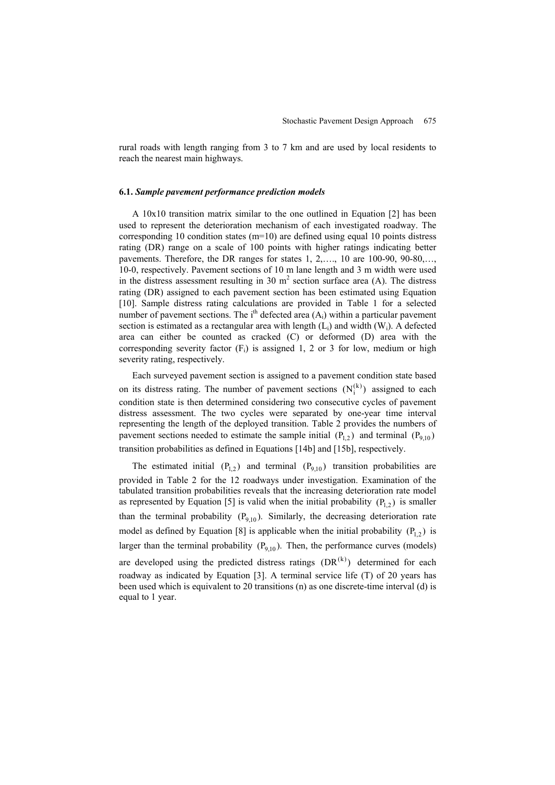rural roads with length ranging from 3 to 7 km and are used by local residents to reach the nearest main highways.

#### **6.1.** *Sample pavement performance prediction models*

A 10x10 transition matrix similar to the one outlined in Equation [2] has been used to represent the deterioration mechanism of each investigated roadway. The corresponding 10 condition states (m=10) are defined using equal 10 points distress rating (DR) range on a scale of 100 points with higher ratings indicating better pavements. Therefore, the DR ranges for states 1, 2,…., 10 are 100-90, 90-80,…, 10-0, respectively. Pavement sections of 10 m lane length and 3 m width were used in the distress assessment resulting in 30  $m<sup>2</sup>$  section surface area (A). The distress rating (DR) assigned to each pavement section has been estimated using Equation [10]. Sample distress rating calculations are provided in Table 1 for a selected number of pavement sections. The  $i<sup>th</sup>$  defected area  $(A<sub>i</sub>)$  within a particular pavement section is estimated as a rectangular area with length  $(L<sub>i</sub>)$  and width  $(W<sub>i</sub>)$ . A defected area can either be counted as cracked (C) or deformed (D) area with the corresponding severity factor  $(F_i)$  is assigned 1, 2 or 3 for low, medium or high severity rating, respectively.

Each surveyed pavement section is assigned to a pavement condition state based on its distress rating. The number of pavement sections  $(N_i^{(k)})$  assigned to each condition state is then determined considering two consecutive cycles of pavement distress assessment. The two cycles were separated by one-year time interval representing the length of the deployed transition. Table 2 provides the numbers of pavement sections needed to estimate the sample initial  $(P_{12})$  and terminal  $(P_{910})$ transition probabilities as defined in Equations [14b] and [15b], respectively.

The estimated initial  $(P_{1,2})$  and terminal  $(P_{9,10})$  transition probabilities are provided in Table 2 for the 12 roadways under investigation. Examination of the tabulated transition probabilities reveals that the increasing deterioration rate model as represented by Equation [5] is valid when the initial probability  $(P_{1,2})$  is smaller than the terminal probability  $(P_{9,10})$ . Similarly, the decreasing deterioration rate model as defined by Equation [8] is applicable when the initial probability  $(P_{1,2})$  is larger than the terminal probability  $(P_{q,10})$ . Then, the performance curves (models) are developed using the predicted distress ratings  $(DR<sup>(k)</sup>)$  determined for each roadway as indicated by Equation [3]. A terminal service life (T) of 20 years has been used which is equivalent to 20 transitions (n) as one discrete-time interval (d) is equal to 1 year.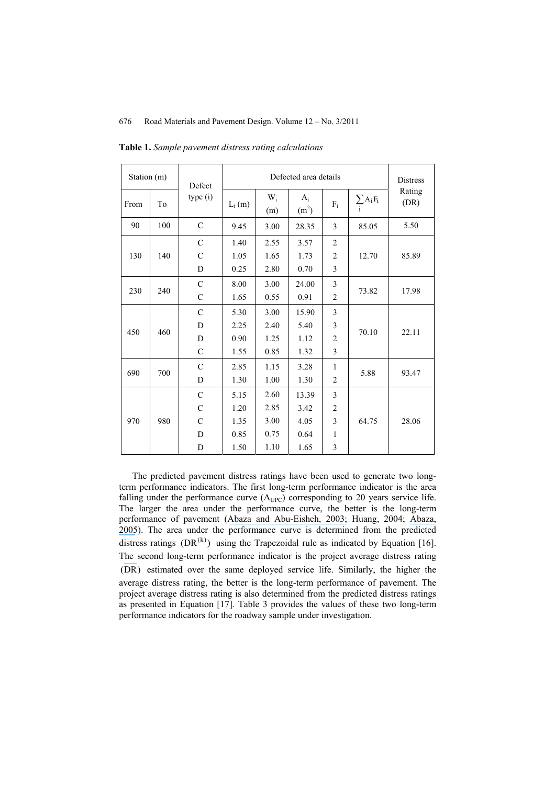| Station (m) |     | Defect        |          | <b>Distress</b>       |                            |                |                      |                |
|-------------|-----|---------------|----------|-----------------------|----------------------------|----------------|----------------------|----------------|
| From        | To  | type (i)      | $L_i(m)$ | W <sub>i</sub><br>(m) | $A_i$<br>(m <sup>2</sup> ) | $F_i$          | $\sum A_i F_i$<br>i. | Rating<br>(DR) |
| 90          | 100 | $\mathcal{C}$ | 9.45     | 3.00                  | 28.35                      | 3              | 85.05                | 5.50           |
|             |     | $\mathcal{C}$ | 1.40     | 2.55                  | 3.57                       | $\overline{2}$ |                      |                |
| 130         | 140 | C             | 1.05     | 1.65                  | 1.73                       | $\overline{2}$ | 12.70                | 85.89          |
|             |     | D             | 0.25     | 2.80                  | 0.70                       | 3              |                      |                |
| 230         | 240 | $\mathcal{C}$ | 8.00     | 3.00                  | 24.00                      | 3              | 73.82                | 17.98          |
|             |     | $\mathcal{C}$ | 1.65     | 0.55                  | 0.91                       | $\overline{2}$ |                      |                |
|             | 460 | $\mathcal{C}$ | 5.30     | 3.00                  | 15.90                      | 3              | 70.10                | 22.11          |
| 450         |     | D             | 2.25     | 2.40                  | 5.40                       | 3              |                      |                |
|             |     | D             | 0.90     | 1.25                  | 1.12                       | $\overline{2}$ |                      |                |
|             |     | $\mathcal{C}$ | 1.55     | 0.85                  | 1.32                       | 3              |                      |                |
|             | 700 | $\mathcal{C}$ | 2.85     | 1.15                  | 3.28                       | 1              | 5.88                 | 93.47          |
| 690         |     | D             | 1.30     | 1.00                  | 1.30                       | 2              |                      |                |
| 970         | 980 | $\mathcal{C}$ | 5.15     | 2.60                  | 13.39                      | 3              |                      |                |
|             |     | C             | 1.20     | 2.85                  | 3.42                       | $\overline{2}$ |                      | 28.06          |
|             |     | C             | 1.35     | 3.00                  | 4.05                       | 3              | 64.75                |                |
|             |     | D             | 0.85     | 0.75                  | 0.64                       | 1              |                      |                |
|             |     | D             | 1.50     | 1.10                  | 1.65                       | 3              |                      |                |

**Table 1.** *Sample pavement distress rating calculations*

The predicted pavement distress ratings have been used to generate two longterm performance indicators. The first long-term performance indicator is the area falling under the performance curve  $(A_{UPC})$  corresponding to 20 years service life. The larger the area under the performance curve, the better is the long-term performance of pavement ([Abaza and Abu-Eisheh, 2003;](https://www.researchgate.net/publication/270647394_An_Optimum_Design_Approach_for_Flexible_Pavements?el=1_x_8&enrichId=rgreq-586e798f26b4d65e18ad21651c016afc-XXX&enrichSource=Y292ZXJQYWdlOzIzMjkwMDgxNjtBUzoxOTc1NDUyNzcwMzg2MDJAMTQyNDEwOTg3MjQzNQ==) Huang, 2004; [Abaza,](https://www.researchgate.net/publication/245307051_Performance-Based_Models_for_Flexible_Pavement_Structural_Overlay_Design?el=1_x_8&enrichId=rgreq-586e798f26b4d65e18ad21651c016afc-XXX&enrichSource=Y292ZXJQYWdlOzIzMjkwMDgxNjtBUzoxOTc1NDUyNzcwMzg2MDJAMTQyNDEwOTg3MjQzNQ==) [2005](https://www.researchgate.net/publication/245307051_Performance-Based_Models_for_Flexible_Pavement_Structural_Overlay_Design?el=1_x_8&enrichId=rgreq-586e798f26b4d65e18ad21651c016afc-XXX&enrichSource=Y292ZXJQYWdlOzIzMjkwMDgxNjtBUzoxOTc1NDUyNzcwMzg2MDJAMTQyNDEwOTg3MjQzNQ==)). The area under the performance curve is determined from the predicted distress ratings (DR<sup>(k)</sup>) using the Trapezoidal rule as indicated by Equation [16]. The second long-term performance indicator is the project average distress rating (DR) estimated over the same deployed service life. Similarly, the higher the average distress rating, the better is the long-term performance of pavement. The project average distress rating is also determined from the predicted distress ratings as presented in Equation [17]. Table 3 provides the values of these two long-term performance indicators for the roadway sample under investigation.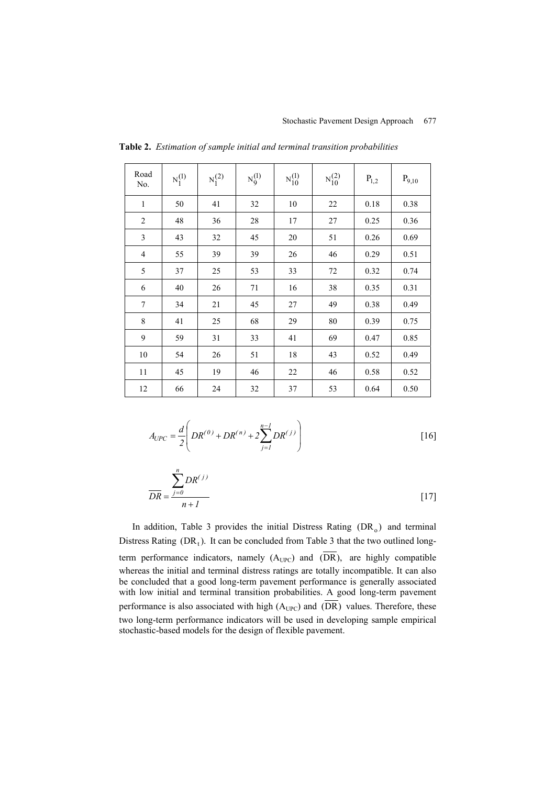| Road<br>No.    | $N_1^{(1)}$ | $N_1^{(2)}$ | $N_9^{(1)}$ | $N_{10}^{(1)}$ | $N_{10}^{(2)}$ | $P_{1,2}$ | $P_{9,10}$ |
|----------------|-------------|-------------|-------------|----------------|----------------|-----------|------------|
| $\mathbf{1}$   | 50          | 41          | 32          | 10             | 22             | 0.18      | 0.38       |
| $\overline{2}$ | 48          | 36          | 28          | 17             | 27             | 0.25      | 0.36       |
| 3              | 43          | 32          | 45          | 20             | 51             | 0.26      | 0.69       |
| $\overline{4}$ | 55          | 39          | 39          | 26             | 46             | 0.29      | 0.51       |
| 5              | 37          | 25          | 53          | 33             | $72\,$         | 0.32      | 0.74       |
| 6              | 40          | 26          | 71          | 16             | 38             | 0.35      | 0.31       |
| $\overline{7}$ | 34          | $21\,$      | 45          | 27             | 49             | 0.38      | 0.49       |
| 8              | 41          | 25          | 68          | 29             | 80             | 0.39      | 0.75       |
| 9              | 59          | 31          | 33          | 41             | 69             | 0.47      | 0.85       |
| 10             | 54          | 26          | 51          | 18             | 43             | 0.52      | 0.49       |
| 11             | 45          | 19          | 46          | $22\,$         | 46             | 0.58      | 0.52       |
| 12             | 66          | 24          | $32\,$      | 37             | 53             | 0.64      | 0.50       |

**Table 2.** *Estimation of sample initial and terminal transition probabilities*

$$
A_{UPC} = \frac{d}{2} \left( DR^{(0)} + DR^{(n)} + 2\sum_{j=1}^{n-1} DR^{(j)} \right)
$$
 [16]

$$
\frac{\sum_{j=0}^{n} DR^{(j)}}{n+1}
$$
 [17]

In addition, Table 3 provides the initial Distress Rating  $(DR<sub>o</sub>)$  and terminal Distress Rating  $(DR_t)$ . It can be concluded from Table 3 that the two outlined longterm performance indicators, namely  $(A_{UPC})$  and  $(\overline{DR})$ , are highly compatible whereas the initial and terminal distress ratings are totally incompatible. It can also be concluded that a good long-term pavement performance is generally associated with low initial and terminal transition probabilities. A good long-term pavement performance is also associated with high  $(A_{UPC})$  and  $(\overline{DR})$  values. Therefore, these two long-term performance indicators will be used in developing sample empirical stochastic-based models for the design of flexible pavement.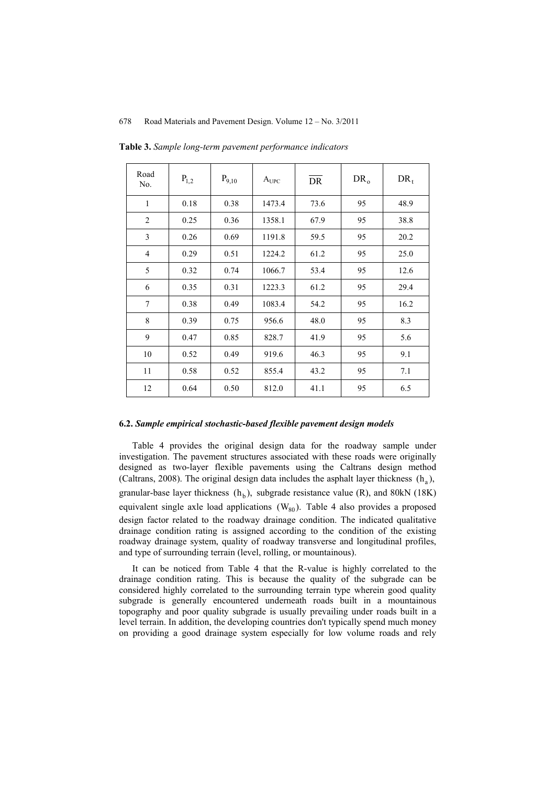| Road<br>No.    | $P_{1,2}$ | $P_{9,10}$ | $A_{\text{UPC}}$ | DR   | $DR_0$ | $DR_t$ |
|----------------|-----------|------------|------------------|------|--------|--------|
| 1              | 0.18      | 0.38       | 1473.4           | 73.6 | 95     | 48.9   |
| $\overline{2}$ | 0.25      | 0.36       | 1358.1           | 67.9 | 95     | 38.8   |
| 3              | 0.26      | 0.69       | 1191.8           | 59.5 | 95     | 20.2   |
| $\overline{4}$ | 0.29      | 0.51       | 1224.2           | 61.2 | 95     | 25.0   |
| 5              | 0.32      | 0.74       | 1066.7           | 53.4 | 95     | 12.6   |
| 6              | 0.35      | 0.31       | 1223.3           | 61.2 | 95     | 29.4   |
| 7              | 0.38      | 0.49       | 1083.4           | 54.2 | 95     | 16.2   |
| 8              | 0.39      | 0.75       | 956.6            | 48.0 | 95     | 8.3    |
| 9              | 0.47      | 0.85       | 828.7            | 41.9 | 95     | 5.6    |
| 10             | 0.52      | 0.49       | 919.6            | 46.3 | 95     | 9.1    |
| 11             | 0.58      | 0.52       | 855.4            | 43.2 | 95     | 7.1    |
| 12             | 0.64      | 0.50       | 812.0            | 41.1 | 95     | 6.5    |

**Table 3.** *Sample long-term pavement performance indicators*

#### **6.2.** *Sample empirical stochastic-based flexible pavement design models*

Table 4 provides the original design data for the roadway sample under investigation. The pavement structures associated with these roads were originally designed as two-layer flexible pavements using the Caltrans design method (Caltrans, 2008). The original design data includes the asphalt layer thickness  $(h_2)$ , granular-base layer thickness  $(h_b)$ , subgrade resistance value (R), and 80kN (18K) equivalent single axle load applications  $(W_{80})$ . Table 4 also provides a proposed design factor related to the roadway drainage condition. The indicated qualitative drainage condition rating is assigned according to the condition of the existing roadway drainage system, quality of roadway transverse and longitudinal profiles, and type of surrounding terrain (level, rolling, or mountainous).

It can be noticed from Table 4 that the R-value is highly correlated to the drainage condition rating. This is because the quality of the subgrade can be considered highly correlated to the surrounding terrain type wherein good quality subgrade is generally encountered underneath roads built in a mountainous topography and poor quality subgrade is usually prevailing under roads built in a level terrain. In addition, the developing countries don't typically spend much money on providing a good drainage system especially for low volume roads and rely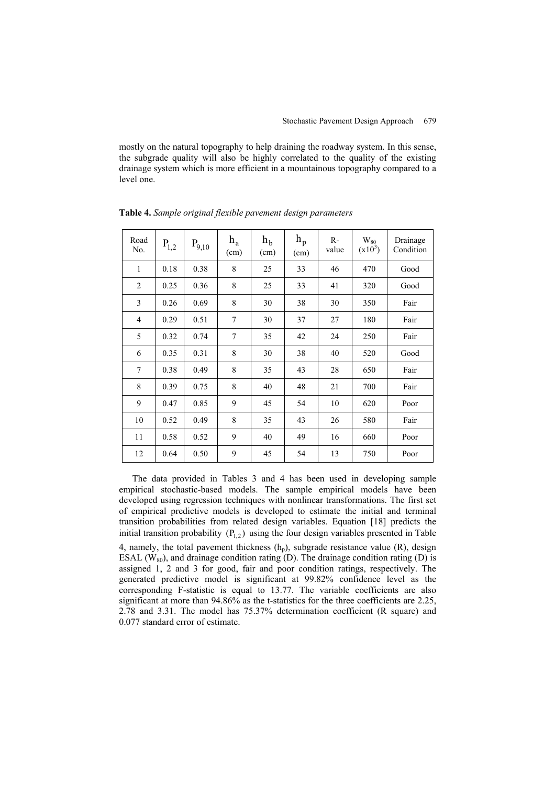mostly on the natural topography to help draining the roadway system. In this sense, the subgrade quality will also be highly correlated to the quality of the existing drainage system which is more efficient in a mountainous topography compared to a level one.

| Road<br>No.    | $P_{1,2}$ | $P_{9,10}$ | $h_a$<br>(cm) | h <sub>b</sub><br>(cm) | $h_{p}$<br>(cm) | $R-$<br>value | $\rm{W_{80}}$<br>$(x10^3)$ | Drainage<br>Condition |
|----------------|-----------|------------|---------------|------------------------|-----------------|---------------|----------------------------|-----------------------|
| $\mathbf{1}$   | 0.18      | 0.38       | 8             | 25                     | 33              | 46            | 470                        | Good                  |
| $\overline{2}$ | 0.25      | 0.36       | 8             | 25                     | 33              | 41            | 320                        | Good                  |
| 3              | 0.26      | 0.69       | 8             | 30                     | 38              | 30            | 350                        | Fair                  |
| $\overline{4}$ | 0.29      | 0.51       | 7             | 30                     | 37              | 27            | 180                        | Fair                  |
| 5              | 0.32      | 0.74       | 7             | 35                     | 42              | 24            | 250                        | Fair                  |
| 6              | 0.35      | 0.31       | 8             | 30                     | 38              | 40            | 520                        | Good                  |
| 7              | 0.38      | 0.49       | 8             | 35                     | 43              | 28            | 650                        | Fair                  |
| 8              | 0.39      | 0.75       | 8             | 40                     | 48              | 21            | 700                        | Fair                  |
| 9              | 0.47      | 0.85       | 9             | 45                     | 54              | 10            | 620                        | Poor                  |
| 10             | 0.52      | 0.49       | 8             | 35                     | 43              | 26            | 580                        | Fair                  |
| 11             | 0.58      | 0.52       | 9             | 40                     | 49              | 16            | 660                        | Poor                  |
| 12             | 0.64      | 0.50       | 9             | 45                     | 54              | 13            | 750                        | Poor                  |

**Table 4.** *Sample original flexible pavement design parameters*

The data provided in Tables 3 and 4 has been used in developing sample empirical stochastic-based models. The sample empirical models have been developed using regression techniques with nonlinear transformations. The first set of empirical predictive models is developed to estimate the initial and terminal transition probabilities from related design variables. Equation [18] predicts the initial transition probability  $(P_{12})$  using the four design variables presented in Table 4, namely, the total pavement thickness  $(h_p)$ , subgrade resistance value  $(R)$ , design ESAL  $(W_{80})$ , and drainage condition rating (D). The drainage condition rating (D) is assigned 1, 2 and 3 for good, fair and poor condition ratings, respectively. The generated predictive model is significant at 99.82% confidence level as the corresponding F-statistic is equal to 13.77. The variable coefficients are also significant at more than 94.86% as the t-statistics for the three coefficients are 2.25, 2.78 and 3.31. The model has 75.37% determination coefficient (R square) and 0.077 standard error of estimate.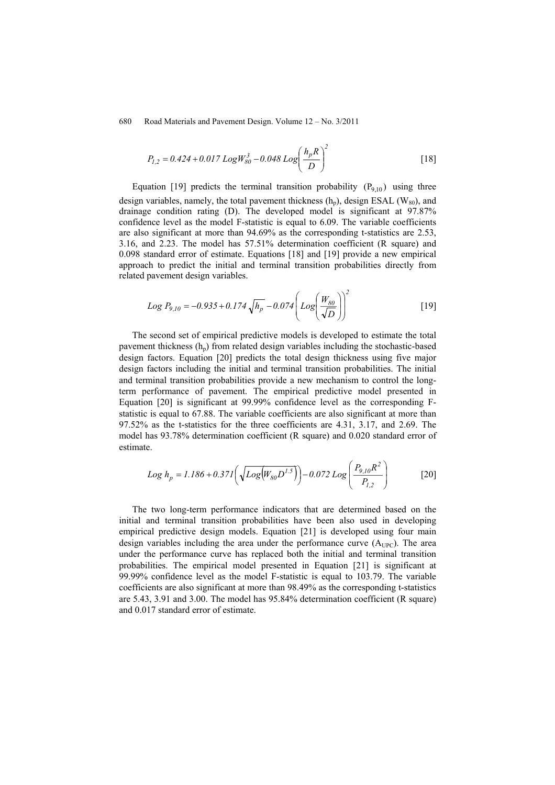$$
P_{1,2} = 0.424 + 0.017 \text{ Log} W_{80}^3 - 0.048 \text{ Log} \left(\frac{h_p R}{D}\right)^2 \tag{18}
$$

Equation [19] predicts the terminal transition probability  $(P_{9,10})$  using three design variables, namely, the total pavement thickness  $(h_n)$ , design ESAL (W<sub>80</sub>), and drainage condition rating (D). The developed model is significant at 97.87% confidence level as the model F-statistic is equal to 6.09. The variable coefficients are also significant at more than 94.69% as the corresponding t-statistics are 2.53, 3.16, and 2.23. The model has 57.51% determination coefficient (R square) and 0.098 standard error of estimate. Equations [18] and [19] provide a new empirical approach to predict the initial and terminal transition probabilities directly from related pavement design variables.

Log 
$$
P_{9,10} = -0.935 + 0.174 \sqrt{h_p} - 0.074 \left( Log \left( \frac{W_{80}}{\sqrt{D}} \right) \right)^2
$$
 [19]

The second set of empirical predictive models is developed to estimate the total pavement thickness  $(h_n)$  from related design variables including the stochastic-based design factors. Equation [20] predicts the total design thickness using five major design factors including the initial and terminal transition probabilities. The initial and terminal transition probabilities provide a new mechanism to control the longterm performance of pavement. The empirical predictive model presented in Equation [20] is significant at 99.99% confidence level as the corresponding Fstatistic is equal to 67.88. The variable coefficients are also significant at more than 97.52% as the t-statistics for the three coefficients are 4.31, 3.17, and 2.69. The model has 93.78% determination coefficient (R square) and 0.020 standard error of estimate.

$$
Log h_p = 1.186 + 0.37I\left(\sqrt{Log(W_{80}D^{1.5})}\right) - 0.072 Log\left(\frac{P_{9.10}R^2}{P_{1.2}}\right)
$$
 [20]

The two long-term performance indicators that are determined based on the initial and terminal transition probabilities have been also used in developing empirical predictive design models. Equation [21] is developed using four main design variables including the area under the performance curve  $(A_{UPC})$ . The area under the performance curve has replaced both the initial and terminal transition probabilities. The empirical model presented in Equation [21] is significant at 99.99% confidence level as the model F-statistic is equal to 103.79. The variable coefficients are also significant at more than 98.49% as the corresponding t-statistics are 5.43, 3.91 and 3.00. The model has 95.84% determination coefficient (R square) and 0.017 standard error of estimate.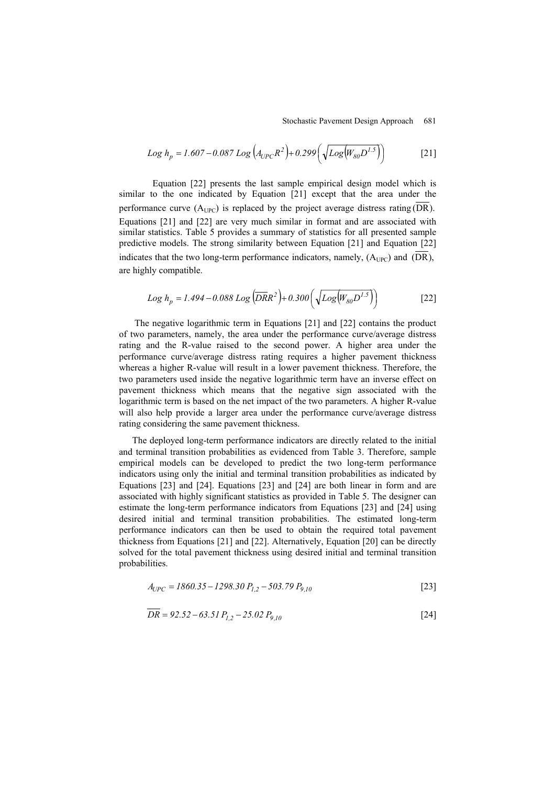$$
Log h_p = 1.607 - 0.087 Log (A_{UPC}R^2) + 0.299 (\sqrt{Log(W_{80}D^{1.5})})
$$
 [21]

Equation [22] presents the last sample empirical design model which is similar to the one indicated by Equation [21] except that the area under the performance curve  $(A_{UPC})$  is replaced by the project average distress rating (DR). Equations [21] and [22] are very much similar in format and are associated with similar statistics. Table 5 provides a summary of statistics for all presented sample predictive models. The strong similarity between Equation [21] and Equation [22] indicates that the two long-term performance indicators, namely,  $(A_{UPC})$  and  $(DR)$ , are highly compatible.

$$
Log h_p = 1.494 - 0.088 Log \left( \overline{DR}R^2 \right) + 0.300 \left( \sqrt{Log(W_{80}D^{1.5})} \right)
$$
 [22]

 The negative logarithmic term in Equations [21] and [22] contains the product of two parameters, namely, the area under the performance curve/average distress rating and the R-value raised to the second power. A higher area under the performance curve/average distress rating requires a higher pavement thickness whereas a higher R-value will result in a lower pavement thickness. Therefore, the two parameters used inside the negative logarithmic term have an inverse effect on pavement thickness which means that the negative sign associated with the logarithmic term is based on the net impact of the two parameters. A higher R-value will also help provide a larger area under the performance curve/average distress rating considering the same pavement thickness.

The deployed long-term performance indicators are directly related to the initial and terminal transition probabilities as evidenced from Table 3. Therefore, sample empirical models can be developed to predict the two long-term performance indicators using only the initial and terminal transition probabilities as indicated by Equations [23] and [24]. Equations [23] and [24] are both linear in form and are associated with highly significant statistics as provided in Table 5. The designer can estimate the long-term performance indicators from Equations [23] and [24] using desired initial and terminal transition probabilities. The estimated long-term performance indicators can then be used to obtain the required total pavement thickness from Equations [21] and [22]. Alternatively, Equation [20] can be directly solved for the total pavement thickness using desired initial and terminal transition probabilities.

$$
A_{UPC} = 1860.35 - 1298.30 P_{1,2} - 503.79 P_{9,10}
$$
 [23]

$$
DR = 92.52 - 63.51 P_{1,2} - 25.02 P_{9,10}
$$
 [24]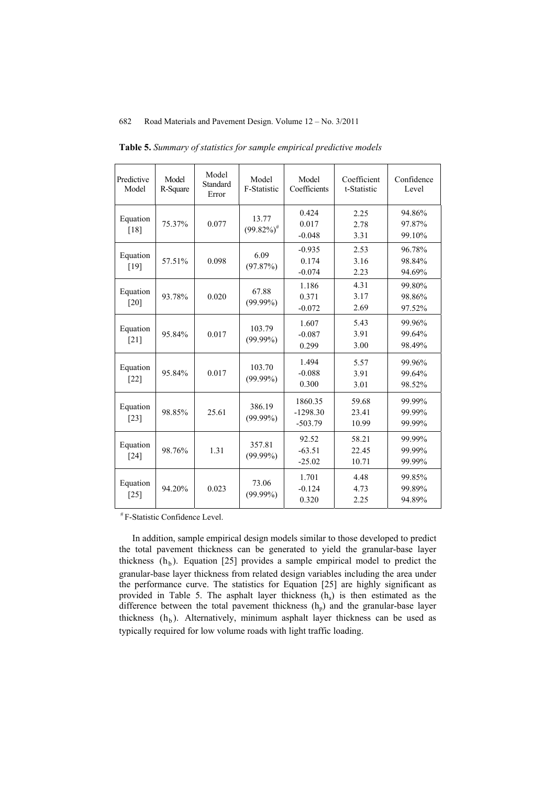| Predictive<br>Model | Model<br>R-Square | Model<br>Standard<br>Error | Model<br>F-Statistic      | Model<br>Coefficients              | Coefficient<br>t-Statistic | Confidence<br>Level        |
|---------------------|-------------------|----------------------------|---------------------------|------------------------------------|----------------------------|----------------------------|
| Equation<br>[18]    | 75.37%            | 0.077                      | 13.77<br>$(99.82\%)^{\#}$ | 0.424<br>0.017<br>$-0.048$         | 2.25<br>2.78<br>3.31       | 94.86%<br>97.87%<br>99.10% |
| Equation<br>$[19]$  | 57.51%            | 0.098                      | 6.09<br>(97.87%)          | $-0.935$<br>0.174<br>$-0.074$      | 2.53<br>3.16<br>2.23       | 96.78%<br>98.84%<br>94.69% |
| Equation<br>[20]    | 93.78%            | 0.020                      | 67.88<br>$(99.99\%)$      | 1.186<br>0.371<br>$-0.072$         | 4.31<br>3.17<br>2.69       | 99.80%<br>98.86%<br>97.52% |
| Equation<br>[21]    | 95.84%            | 0.017                      | 103.79<br>$(99.99\%)$     | 1.607<br>$-0.087$<br>0.299         | 5.43<br>3.91<br>3.00       | 99.96%<br>99.64%<br>98.49% |
| Equation<br>$[22]$  | 95.84%            | 0.017                      | 103.70<br>$(99.99\%)$     | 1.494<br>$-0.088$<br>0.300         | 5.57<br>3.91<br>3.01       | 99.96%<br>99.64%<br>98.52% |
| Equation<br>$[23]$  | 98.85%            | 25.61                      | 386.19<br>$(99.99\%)$     | 1860.35<br>$-1298.30$<br>$-503.79$ | 59.68<br>23.41<br>10.99    | 99.99%<br>99.99%<br>99.99% |
| Equation<br>$[24]$  | 98.76%            | 1.31                       | 357.81<br>$(99.99\%)$     | 92.52<br>$-63.51$<br>$-25.02$      | 58.21<br>22.45<br>10.71    | 99.99%<br>99.99%<br>99.99% |
| Equation<br>$[25]$  | 94.20%            | 0.023                      | 73.06<br>$(99.99\%)$      | 1.701<br>$-0.124$<br>0.320         | 4.48<br>4.73<br>2.25       | 99.85%<br>99.89%<br>94.89% |

**Table 5.** *Summary of statistics for sample empirical predictive models*

# F-Statistic Confidence Level.

In addition, sample empirical design models similar to those developed to predict the total pavement thickness can be generated to yield the granular-base layer thickness  $(h<sub>b</sub>)$ . Equation [25] provides a sample empirical model to predict the granular-base layer thickness from related design variables including the area under the performance curve. The statistics for Equation [25] are highly significant as provided in Table 5. The asphalt layer thickness (h<sub>a</sub>) is then estimated as the difference between the total pavement thickness  $(h_p)$  and the granular-base layer thickness  $(h<sub>b</sub>)$ . Alternatively, minimum asphalt layer thickness can be used as typically required for low volume roads with light traffic loading.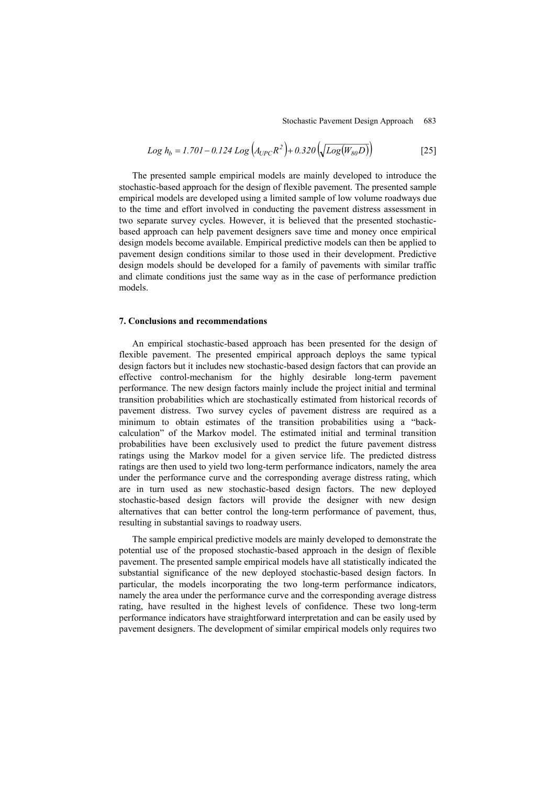$$
Log h_b = 1.701 - 0.124 Log (A_{UPC}R^2) + 0.320 (\sqrt{Log(W_{80}D)})
$$
\n<sup>(25)</sup>

The presented sample empirical models are mainly developed to introduce the stochastic-based approach for the design of flexible pavement. The presented sample empirical models are developed using a limited sample of low volume roadways due to the time and effort involved in conducting the pavement distress assessment in two separate survey cycles. However, it is believed that the presented stochasticbased approach can help pavement designers save time and money once empirical design models become available. Empirical predictive models can then be applied to pavement design conditions similar to those used in their development. Predictive design models should be developed for a family of pavements with similar traffic and climate conditions just the same way as in the case of performance prediction models.

#### **7. Conclusions and recommendations**

An empirical stochastic-based approach has been presented for the design of flexible pavement. The presented empirical approach deploys the same typical design factors but it includes new stochastic-based design factors that can provide an effective control-mechanism for the highly desirable long-term pavement performance. The new design factors mainly include the project initial and terminal transition probabilities which are stochastically estimated from historical records of pavement distress. Two survey cycles of pavement distress are required as a minimum to obtain estimates of the transition probabilities using a "backcalculation" of the Markov model. The estimated initial and terminal transition probabilities have been exclusively used to predict the future pavement distress ratings using the Markov model for a given service life. The predicted distress ratings are then used to yield two long-term performance indicators, namely the area under the performance curve and the corresponding average distress rating, which are in turn used as new stochastic-based design factors. The new deployed stochastic-based design factors will provide the designer with new design alternatives that can better control the long-term performance of pavement, thus, resulting in substantial savings to roadway users.

The sample empirical predictive models are mainly developed to demonstrate the potential use of the proposed stochastic-based approach in the design of flexible pavement. The presented sample empirical models have all statistically indicated the substantial significance of the new deployed stochastic-based design factors. In particular, the models incorporating the two long-term performance indicators, namely the area under the performance curve and the corresponding average distress rating, have resulted in the highest levels of confidence. These two long-term performance indicators have straightforward interpretation and can be easily used by pavement designers. The development of similar empirical models only requires two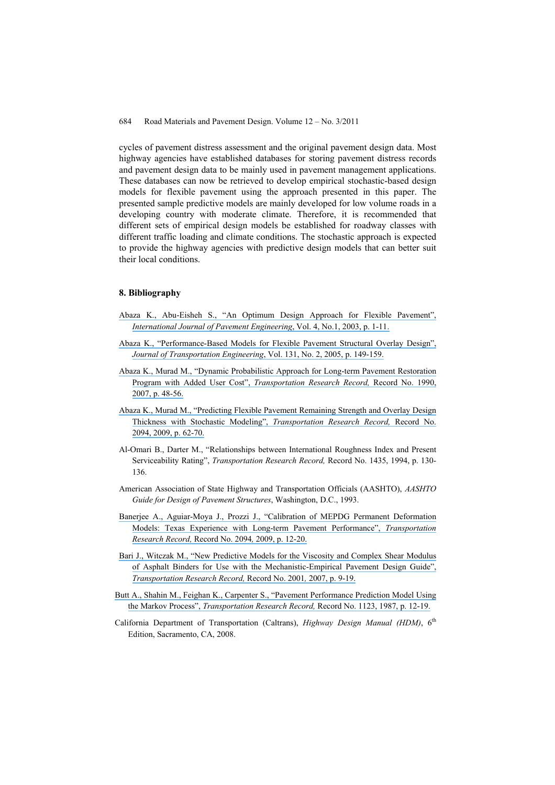cycles of pavement distress assessment and the original pavement design data. Most highway agencies have established databases for storing pavement distress records and pavement design data to be mainly used in pavement management applications. These databases can now be retrieved to develop empirical stochastic-based design models for flexible pavement using the approach presented in this paper. The presented sample predictive models are mainly developed for low volume roads in a developing country with moderate climate. Therefore, it is recommended that different sets of empirical design models be established for roadway classes with different traffic loading and climate conditions. The stochastic approach is expected to provide the highway agencies with predictive design models that can better suit their local conditions.

#### **8. Bibliography**

- [Abaza K., Abu-Eisheh S., "An Optimum Design Approach for Flexible Pavement",](https://www.researchgate.net/publication/270647394_An_Optimum_Design_Approach_for_Flexible_Pavements?el=1_x_8&enrichId=rgreq-586e798f26b4d65e18ad21651c016afc-XXX&enrichSource=Y292ZXJQYWdlOzIzMjkwMDgxNjtBUzoxOTc1NDUyNzcwMzg2MDJAMTQyNDEwOTg3MjQzNQ==) *[International Journal of Pavement Engineering](https://www.researchgate.net/publication/270647394_An_Optimum_Design_Approach_for_Flexible_Pavements?el=1_x_8&enrichId=rgreq-586e798f26b4d65e18ad21651c016afc-XXX&enrichSource=Y292ZXJQYWdlOzIzMjkwMDgxNjtBUzoxOTc1NDUyNzcwMzg2MDJAMTQyNDEwOTg3MjQzNQ==)*, Vol. 4, No.1, 2003, p. 1-11.
- [Abaza K., "Performance-Based Models for Flexible Pavement Structural Overlay Design",](https://www.researchgate.net/publication/245307051_Performance-Based_Models_for_Flexible_Pavement_Structural_Overlay_Design?el=1_x_8&enrichId=rgreq-586e798f26b4d65e18ad21651c016afc-XXX&enrichSource=Y292ZXJQYWdlOzIzMjkwMDgxNjtBUzoxOTc1NDUyNzcwMzg2MDJAMTQyNDEwOTg3MjQzNQ==) *[Journal of Transportation Engineering](https://www.researchgate.net/publication/245307051_Performance-Based_Models_for_Flexible_Pavement_Structural_Overlay_Design?el=1_x_8&enrichId=rgreq-586e798f26b4d65e18ad21651c016afc-XXX&enrichSource=Y292ZXJQYWdlOzIzMjkwMDgxNjtBUzoxOTc1NDUyNzcwMzg2MDJAMTQyNDEwOTg3MjQzNQ==)*, Vol. 131, No. 2, 2005, p. 149-159.
- [Abaza K., Murad M., "Dynamic Probabilistic Approach for Long-term Pavement Restoration](https://www.researchgate.net/publication/239439123_Dynamic_Probabilistic_Approach_for_Long-Term_Pavement_Restoration_Program_with_Added_User_Cost?el=1_x_8&enrichId=rgreq-586e798f26b4d65e18ad21651c016afc-XXX&enrichSource=Y292ZXJQYWdlOzIzMjkwMDgxNjtBUzoxOTc1NDUyNzcwMzg2MDJAMTQyNDEwOTg3MjQzNQ==) [Program with Added User Cost",](https://www.researchgate.net/publication/239439123_Dynamic_Probabilistic_Approach_for_Long-Term_Pavement_Restoration_Program_with_Added_User_Cost?el=1_x_8&enrichId=rgreq-586e798f26b4d65e18ad21651c016afc-XXX&enrichSource=Y292ZXJQYWdlOzIzMjkwMDgxNjtBUzoxOTc1NDUyNzcwMzg2MDJAMTQyNDEwOTg3MjQzNQ==) *Transportation Research Record,* Record No. 1990, [2007, p. 48-56.](https://www.researchgate.net/publication/239439123_Dynamic_Probabilistic_Approach_for_Long-Term_Pavement_Restoration_Program_with_Added_User_Cost?el=1_x_8&enrichId=rgreq-586e798f26b4d65e18ad21651c016afc-XXX&enrichSource=Y292ZXJQYWdlOzIzMjkwMDgxNjtBUzoxOTc1NDUyNzcwMzg2MDJAMTQyNDEwOTg3MjQzNQ==)
- [Abaza K., Murad M., "Predicting Flexible Pavement Remaining Strength and Overlay Design](https://www.researchgate.net/publication/245562577_Predicting_Remaining_Strength_of_Flexible_Pavement_and_Overlay_Design_Thickness_with_Stochastic_Modeling?el=1_x_8&enrichId=rgreq-586e798f26b4d65e18ad21651c016afc-XXX&enrichSource=Y292ZXJQYWdlOzIzMjkwMDgxNjtBUzoxOTc1NDUyNzcwMzg2MDJAMTQyNDEwOTg3MjQzNQ==) [Thickness with Stochastic Modeling",](https://www.researchgate.net/publication/245562577_Predicting_Remaining_Strength_of_Flexible_Pavement_and_Overlay_Design_Thickness_with_Stochastic_Modeling?el=1_x_8&enrichId=rgreq-586e798f26b4d65e18ad21651c016afc-XXX&enrichSource=Y292ZXJQYWdlOzIzMjkwMDgxNjtBUzoxOTc1NDUyNzcwMzg2MDJAMTQyNDEwOTg3MjQzNQ==) *Transportation Research Record,* Record No. [2094, 2009, p. 62-70.](https://www.researchgate.net/publication/245562577_Predicting_Remaining_Strength_of_Flexible_Pavement_and_Overlay_Design_Thickness_with_Stochastic_Modeling?el=1_x_8&enrichId=rgreq-586e798f26b4d65e18ad21651c016afc-XXX&enrichSource=Y292ZXJQYWdlOzIzMjkwMDgxNjtBUzoxOTc1NDUyNzcwMzg2MDJAMTQyNDEwOTg3MjQzNQ==)
- Al-Omari B., Darter M., "Relationships between International Roughness Index and Present Serviceability Rating", *Transportation Research Record,* Record No. 1435, 1994, p. 130- 136.
- American Association of State Highway and Transportation Officials (AASHTO), *AASHTO Guide for Design of Pavement Structures*, Washington, D.C., 1993.
- [Banerjee A., Aguiar-Moya J., Prozzi J., "Calibration of MEPDG Permanent Deformation](https://www.researchgate.net/publication/245563271_Calibration_of_Mechanistic-Empirical_Pavement_Design_Guide_Permanent_Deformation_Models_Texas_Experience_with_Long-Term_Pavement_Performance?el=1_x_8&enrichId=rgreq-586e798f26b4d65e18ad21651c016afc-XXX&enrichSource=Y292ZXJQYWdlOzIzMjkwMDgxNjtBUzoxOTc1NDUyNzcwMzg2MDJAMTQyNDEwOTg3MjQzNQ==) [Models: Texas Experience with Long-term Pavement Performance",](https://www.researchgate.net/publication/245563271_Calibration_of_Mechanistic-Empirical_Pavement_Design_Guide_Permanent_Deformation_Models_Texas_Experience_with_Long-Term_Pavement_Performance?el=1_x_8&enrichId=rgreq-586e798f26b4d65e18ad21651c016afc-XXX&enrichSource=Y292ZXJQYWdlOzIzMjkwMDgxNjtBUzoxOTc1NDUyNzcwMzg2MDJAMTQyNDEwOTg3MjQzNQ==) *Transportation [Research Record,](https://www.researchgate.net/publication/245563271_Calibration_of_Mechanistic-Empirical_Pavement_Design_Guide_Permanent_Deformation_Models_Texas_Experience_with_Long-Term_Pavement_Performance?el=1_x_8&enrichId=rgreq-586e798f26b4d65e18ad21651c016afc-XXX&enrichSource=Y292ZXJQYWdlOzIzMjkwMDgxNjtBUzoxOTc1NDUyNzcwMzg2MDJAMTQyNDEwOTg3MjQzNQ==)* Record No. 2094*,* 2009, p. 12-20.
- [Bari J., Witczak M., "New Predictive Models for the Viscosity and Complex Shear Modulus](https://www.researchgate.net/publication/245561795_New_Predictive_Models_for_Viscosity_and_Complex_Shear_Modulus_of_Asphalt_Binders_For_Use_with_Mechanistic-Empirical_Pavement_Design_Guide?el=1_x_8&enrichId=rgreq-586e798f26b4d65e18ad21651c016afc-XXX&enrichSource=Y292ZXJQYWdlOzIzMjkwMDgxNjtBUzoxOTc1NDUyNzcwMzg2MDJAMTQyNDEwOTg3MjQzNQ==) [of Asphalt Binders for Use with the Mechanistic-Empirical Pavement Design Guide",](https://www.researchgate.net/publication/245561795_New_Predictive_Models_for_Viscosity_and_Complex_Shear_Modulus_of_Asphalt_Binders_For_Use_with_Mechanistic-Empirical_Pavement_Design_Guide?el=1_x_8&enrichId=rgreq-586e798f26b4d65e18ad21651c016afc-XXX&enrichSource=Y292ZXJQYWdlOzIzMjkwMDgxNjtBUzoxOTc1NDUyNzcwMzg2MDJAMTQyNDEwOTg3MjQzNQ==) *[Transportation Research Record,](https://www.researchgate.net/publication/245561795_New_Predictive_Models_for_Viscosity_and_Complex_Shear_Modulus_of_Asphalt_Binders_For_Use_with_Mechanistic-Empirical_Pavement_Design_Guide?el=1_x_8&enrichId=rgreq-586e798f26b4d65e18ad21651c016afc-XXX&enrichSource=Y292ZXJQYWdlOzIzMjkwMDgxNjtBUzoxOTc1NDUyNzcwMzg2MDJAMTQyNDEwOTg3MjQzNQ==)* Record No. 2001*,* 2007, p. 9-19.
- [Butt A., Shahin M., Feighan K., Carpenter S., "Pavement Performance Prediction Model Using](https://www.researchgate.net/publication/292009585_PAVEMENT_PERFORMANCE_PREDICTION_MODEL_USING_THE_MARKOV_PROCESS?el=1_x_8&enrichId=rgreq-586e798f26b4d65e18ad21651c016afc-XXX&enrichSource=Y292ZXJQYWdlOzIzMjkwMDgxNjtBUzoxOTc1NDUyNzcwMzg2MDJAMTQyNDEwOTg3MjQzNQ==) the Markov Process", *[Transportation Research Record,](https://www.researchgate.net/publication/292009585_PAVEMENT_PERFORMANCE_PREDICTION_MODEL_USING_THE_MARKOV_PROCESS?el=1_x_8&enrichId=rgreq-586e798f26b4d65e18ad21651c016afc-XXX&enrichSource=Y292ZXJQYWdlOzIzMjkwMDgxNjtBUzoxOTc1NDUyNzcwMzg2MDJAMTQyNDEwOTg3MjQzNQ==)* Record No. 1123, 1987, p. 12-19.
- California Department of Transportation (Caltrans), *Highway Design Manual (HDM)*, 6<sup>th</sup> Edition, Sacramento, CA, 2008.